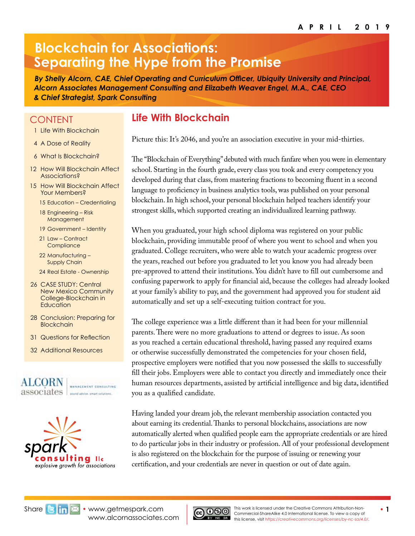# **Blockchain for Associations: Separating the Hype from the Promise**

*By Shelly Alcorn, CAE, Chief Operating and Curriculum Officer, Ubiquity University and Principal, Alcorn Associates Management Consulting and Elizabeth Weaver Engel, M.A., CAE, CEO & Chief Strategist, Spark Consulting*

## **CONTENT**

- 1 Life With Blockchain
- 4 [A Dose of Reality](#page-3-0)
- 6 [What Is Blockchain?](#page-5-0)
- [12 How Will Blockchain Affect](#page-11-0)  [Associations?](#page-11-0)
- [15 How Will Blockchain Affect](#page-14-0)  [Your Members?](#page-14-0)
	- 15 [Education Credentialing](#page-14-0)
	- 18 [Engineering Risk](#page-17-0)  [Management](#page-17-0)
	- 19 [Government Identity](#page-18-0)
	- 21 [Law Contract](#page-20-0)  **Compliance**
	- 22 [Manufacturing](#page-21-0)  [Supply Chain](#page-21-0)
	- 24 [Real Estate Ownership](#page-23-0)
- 26 [CASE STUDY: Central](#page-25-0)  [New Mexico Community](#page-25-0)  [College-Blockchain in](#page-25-0)  **[Education](#page-25-0)**
- 28 [Conclusion: Preparing for](#page-27-0)  **[Blockchain](#page-27-0)**
- [31 Questions](#page-30-0) for Reflection
- 32 [Additional Resources](#page-31-0)





# **Life With Blockchain**

Picture this: It's 2046, and you're an association executive in your mid-thirties.

The "Blockchain of Everything" debuted with much fanfare when you were in elementary school. Starting in the fourth grade, every class you took and every competency you developed during that class, from mastering fractions to becoming fluent in a second language to proficiency in business analytics tools, was published on your personal blockchain. In high school, your personal blockchain helped teachers identify your strongest skills, which supported creating an individualized learning pathway.

When you graduated, your high school diploma was registered on your public blockchain, providing immutable proof of where you went to school and when you graduated. College recruiters, who were able to watch your academic progress over the years, reached out before you graduated to let you know you had already been pre-approved to attend their institutions. You didn't have to fill out cumbersome and confusing paperwork to apply for financial aid, because the colleges had already looked at your family's ability to pay, and the government had approved you for student aid automatically and set up a self-executing tuition contract for you.

The college experience was a little different than it had been for your millennial parents. There were no more graduations to attend or degrees to issue. As soon as you reached a certain educational threshold, having passed any required exams or otherwise successfully demonstrated the competencies for your chosen field, prospective employers were notified that you now possessed the skills to successfully fill their jobs. Employers were able to contact you directly and immediately once their human resources departments, assisted by artificial intelligence and big data, identified you as a qualified candidate.

Having landed your dream job, the relevant membership association contacted you about earning its credential. Thanks to personal blockchains, associations are now automatically alerted when qualified people earn the appropriate credentials or are hired to do particular jobs in their industry or profession. All of your professional development is also registered on the blockchain for the purpose of issuing or renewing your certification, and your credentials are never in question or out of date again.



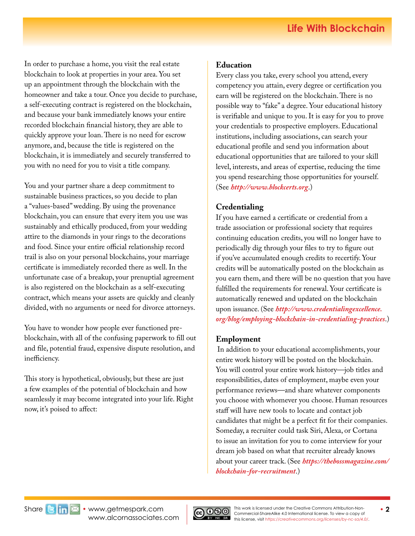In order to purchase a home, you visit the real estate blockchain to look at properties in your area. You set up an appointment through the blockchain with the homeowner and take a tour. Once you decide to purchase, a self-executing contract is registered on the blockchain, and because your bank immediately knows your entire recorded blockchain financial history, they are able to quickly approve your loan. There is no need for escrow anymore, and, because the title is registered on the blockchain, it is immediately and securely transferred to you with no need for you to visit a title company.

You and your partner share a deep commitment to sustainable business practices, so you decide to plan a "values-based" wedding. By using the provenance blockchain, you can ensure that every item you use was sustainably and ethically produced, from your wedding attire to the diamonds in your rings to the decorations and food. Since your entire official relationship record trail is also on your personal blockchains, your marriage certificate is immediately recorded there as well. In the unfortunate case of a breakup, your prenuptial agreement is also registered on the blockchain as a self-executing contract, which means your assets are quickly and cleanly divided, with no arguments or need for divorce attorneys.

You have to wonder how people ever functioned preblockchain, with all of the confusing paperwork to fill out and file, potential fraud, expensive dispute resolution, and inefficiency.

This story is hypothetical, obviously, but these are just a few examples of the potential of blockchain and how seamlessly it may become integrated into your life. Right now, it's poised to affect:

### **Education**

Every class you take, every school you attend, every competency you attain, every degree or certification you earn will be registered on the blockchain. There is no possible way to "fake" a degree. Your educational history is verifiable and unique to you. It is easy for you to prove your credentials to prospective employers. Educational institutions, including associations, can search your educational profile and send you information about educational opportunities that are tailored to your skill level, interests, and areas of expertise, reducing the time you spend researching those opportunities for yourself. (See *<http://www.blockcerts.org>*.)

### **Credentialing**

If you have earned a certificate or credential from a trade association or professional society that requires continuing education credits, you will no longer have to periodically dig through your files to try to figure out if you've accumulated enough credits to recertify. Your credits will be automatically posted on the blockchain as you earn them, and there will be no question that you have fulfilled the requirements for renewal. Your certificate is automatically renewed and updated on the blockchain upon issuance. (See *[http://www.credentialingexcellence.](http://www.credentialingexcellence.org/blog/employing-blockchain-in-credentialing-practices) [org/blog/employing-blockchain-in-credentialing-practices](http://www.credentialingexcellence.org/blog/employing-blockchain-in-credentialing-practices)*.)

### **Employment**

In addition to your educational accomplishments, your entire work history will be posted on the blockchain. You will control your entire work history—job titles and responsibilities, dates of employment, maybe even your performance reviews—and share whatever components you choose with whomever you choose. Human resources staff will have new tools to locate and contact job candidates that might be a perfect fit for their companies. Someday, a recruiter could task Siri, Alexa, or Cortana to issue an invitation for you to come interview for your dream job based on what that recruiter already knows about your career track. (See *[https://thebossmagazine.com/](https://thebossmagazine.com/blockchain-for-recruitment) [blockchain-for-recruitment](https://thebossmagazine.com/blockchain-for-recruitment)*.)

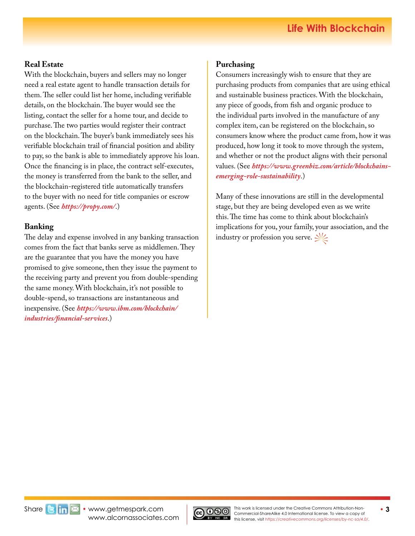### **Real Estate**

With the blockchain, buyers and sellers may no longer need a real estate agent to handle transaction details for them. The seller could list her home, including verifiable details, on the blockchain. The buyer would see the listing, contact the seller for a home tour, and decide to purchase. The two parties would register their contract on the blockchain. The buyer's bank immediately sees his verifiable blockchain trail of financial position and ability to pay, so the bank is able to immediately approve his loan. Once the financing is in place, the contract self-executes, the money is transferred from the bank to the seller, and the blockchain-registered title automatically transfers to the buyer with no need for ti[tl](http://https://propy.com/)e companies or escrow agents. (See *<https://propy.com/>*.)

### **Banking**

The delay and expense involved in any banking transaction comes from the fact that banks serve as middlemen. They are the guarantee that you have the money you have promised to give someone, then they issue the payment to the receiving party and prevent you from double-spending the same money. With blockchain, it's not possible to double-spend, so transactions are instantaneous and inexpensive. (See *[https://www.ibm.com/blockchain/](https://www.ibm.com/blockchain/industries/financial-services) [industries/financial-services](https://www.ibm.com/blockchain/industries/financial-services)*.)

### **Purchasing**

Consumers increasingly wish to ensure that they are purchasing products from companies that are using ethical and sustainable business practices. With the blockchain, any piece of goods, from fish and organic produce to the individual parts involved in the manufacture of any complex item, can be registered on the blockchain, so consumers know where the product came from, how it was produced, how long it took to move through the system, and whether or not the product aligns with their personal values. (See *[https://www.greenbiz.com/article/blockchains](https://www.greenbiz.com/article/blockchains-emerging-role-sustainability)[emerging-role-sustainability](https://www.greenbiz.com/article/blockchains-emerging-role-sustainability)*.)

Many of these innovations are still in the developmental stage, but they are being developed even as we write this. The time has come to think about blockchain's implications for you, your family, your association, and the industry or profession you serve.  $\leq$ 



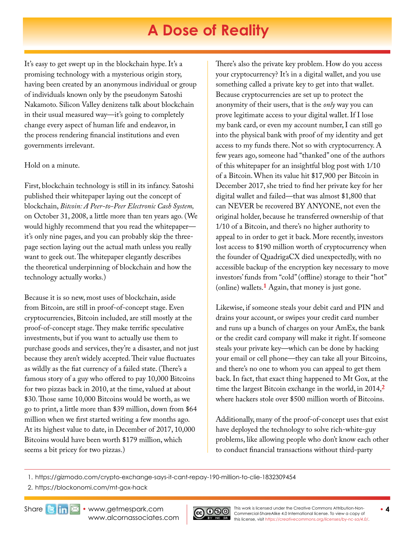# **A Dose of Reality**

<span id="page-3-0"></span>It's easy to get swept up in the blockchain hype. It's a promising technology with a mysterious origin story, having been created by an anonymous individual or group of individuals known only by the pseudonym Satoshi Nakamoto. Silicon Valley denizens talk about blockchain in their usual measured way—it's going to completely change every aspect of human life and endeavor, in the process rendering financial institutions and even governments irrelevant.

### Hold on a minute.

First, blockchain technology is still in its infancy. Satoshi published their whitepaper laying out the concept of blockchain, *Bitcoin: A Peer-to-Peer Electronic Cash System,* on October 31, 2008, a little more than ten years ago. (We would highly recommend that you read the whitepaper it's only nine pages, and you can probably skip the threepage section laying out the actual math unless you really want to geek out. The whitepaper elegantly describes the theoretical underpinning of blockchain and how the technology actually works.)

Because it is so new, most uses of blockchain, aside from Bitcoin, are still in proof-of-concept stage. Even cryptocurrencies, Bitcoin included, are still mostly at the proof-of-concept stage. They make terrific speculative investments, but if you want to actually use them to purchase goods and services, they're a disaster, and not just because they aren't widely accepted. Their value fluctuates as wildly as the fiat currency of a failed state. (There's a famous story of a guy who offered to pay 10,000 Bitcoins for two pizzas back in 2010, at the time, valued at about \$30. Those same 10,000 Bitcoins would be worth, as we go to print, a little more than \$39 million, down from \$64 million when we first started writing a few months ago. At its highest value to date, in December of 2017, 10,000 Bitcoins would have been worth \$179 million, which seems a bit pricey for two pizzas.)

There's also the private key problem. How do you access your cryptocurrency? It's in a digital wallet, and you use something called a private key to get into that wallet. Because cryptocurrencies are set up to protect the anonymity of their users, that is the *only* way you can prove legitimate access to your digital wallet. If I lose my bank card, or even my account number, I can still go into the physical bank with proof of my identity and get access to my funds there. Not so with cryptocurrency. A few years ago, someone had "thanked" one of the authors of this whitepaper for an insightful blog post with 1/10 of a Bitcoin. When its value hit \$17,900 per Bitcoin in December 2017, she tried to find her private key for her digital wallet and failed—that was almost \$1,800 that can NEVER be recovered BY ANYONE, not even the original holder, because he transferred ownership of that 1/10 of a Bitcoin, and there's no higher authority to appeal to in order to get it back. More recently, investors lost access to \$190 million worth of cryptocurrency when the founder of QuadrigaCX died unexpectedly, with no accessible backup of the encryption key necessary to move investors' funds from "cold" (offline) storage to their "hot" (online) wallets.**[1](https://gizmodo.com/crypto-exchange-says-it-cant-repay-190-million-to-clie-1832309454)** Again, that money is just gone.

Likewise, if someone steals your debit card and PIN and drains your account, or swipes your credit card number and runs up a bunch of charges on your AmEx, the bank or the credit card company will make it right. If someone steals your private key—which can be done by hacking your email or cell phone—they can take all your Bitcoins, and there's no one to whom you can appeal to get them back. In fact, that exact thing happened to Mt Gox, at the time the largest Bitcoin exchange in the world, in 2014,**[2](https://blockonomi.com/mt-gox-hack)** where hackers stole over \$500 million worth of Bitcoins.

Additionally, many of the proof-of-concept uses that exist have deployed the technology to solve rich-white-guy problems, like allowing people who don't know each other to conduct financial transactions without third-party

2. https://blockonomi.com/mt-gox-hack



<sup>1.</sup> https://gizmodo.com/crypto-exchange-says-it-cant-repay-190-million-to-clie-1832309454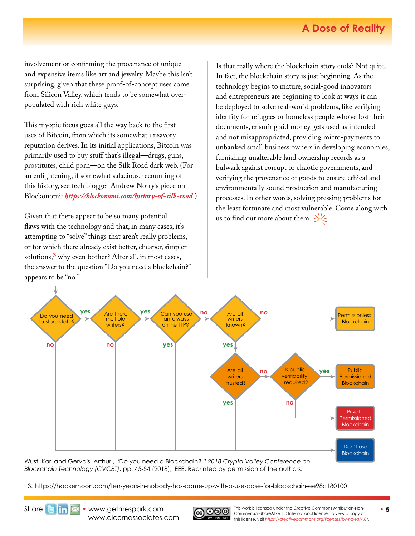# **A Dose of Reality**

involvement or confirming the provenance of unique and expensive items like art and jewelry. Maybe this isn't surprising, given that these proof-of-concept uses come from Silicon Valley, which tends to be somewhat overpopulated with rich white guys.

This myopic focus goes all the way back to the first uses of Bitcoin, from which its somewhat unsavory reputation derives. In its initial applications, Bitcoin was primarily used to buy stuff that's illegal—drugs, guns, prostitutes, child porn—on the Silk Road dark web. (For an enlightening, if somewhat salacious, recounting of this history, see tech blogger Andrew Norry's piece on Blockonomi: *<https://blockonomi.com/history-of-silk-road>*.)

Given that there appear to be so many potential flaws with the technology and that, in many cases, it's attempting to "solve" things that aren't really problems, or for which there already exist better, cheaper, simpler solutions,**[3](https://hackernoon.com/ten-years-in-nobody-has-come-up-with-a-use-case-for-blockchain-ee98c180100)** why even bother? After all, in most cases, the answer to the question "Do you need a blockchain?" appears to be "no."

Is that really where the blockchain story ends? Not quite. In fact, the blockchain story is just beginning. As the technology begins to mature, social-good innovators and entrepreneurs are beginning to look at ways it can be deployed to solve real-world problems, like verifying identity for refugees or homeless people who've lost their documents, ensuring aid money gets used as intended and not misappropriated, providing micro-payments to unbanked small business owners in developing economies, furnishing unalterable land ownership records as a bulwark against corrupt or chaotic governments, and verifying the provenance of goods to ensure ethical and environmentally sound production and manufacturing processes. In other words, solving pressing problems for the least fortunate and most vulnerable. Come along with us to find out more about them.  $\frac{1}{2}$ 



Wust, Karl and Gervais, Arthur , "Do you need a Blockchain?," *2018 Crypto Valley Conference on Blockchain Technology (CVCBT)*, pp. 45-54 (2018), IEEE. Reprinted by permission of the authors.

3. https://hackernoon.com/ten-years-in-nobody-has-come-up-with-a-use-case-for-blockchain-ee98c180100

Share**B in**  $\boxtimes$  • [www.getmespark.com](http://www.getmespark.com) [www.alcornassociates.com](http://www.alcornassociates.com)



**This work is licensed under the Creative Commons Attribution-Non-**<br>• 5 Commercial-ShareAlike 4.0 International license. To view a copy of this license, visit *<https://creativecommons.org/licenses/by-nc-sa/4.0/>*.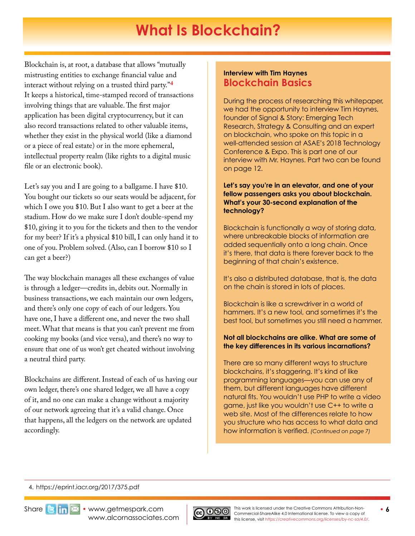# **What Is Blockchain?**

<span id="page-5-0"></span>Blockchain is, at root, a database that allows "mutually mistrusting entities to exchange financial value and interact without relying on a trusted third party."**[4](https://eprint.iacr.org/2017/375.pdf)** It keeps a historical, time-stamped record of transactions involving things that are valuable. The first major application has been digital cryptocurrency, but it can also record transactions related to other valuable items, whether they exist in the physical world (like a diamond or a piece of real estate) or in the more ephemeral, intellectual property realm (like rights to a digital music file or an electronic book).

Let's say you and I are going to a ballgame. I have \$10. You bought our tickets so our seats would be adjacent, for which I owe you \$10. But I also want to get a beer at the stadium. How do we make sure I don't double-spend my \$10, giving it to you for the tickets and then to the vendor for my beer? If it's a physical \$10 bill, I can only hand it to one of you. Problem solved. (Also, can I borrow \$10 so I can get a beer?)

The way blockchain manages all these exchanges of value is through a ledger—credits in, debits out. Normally in business transactions, we each maintain our own ledgers, and there's only one copy of each of our ledgers. You have one, I have a different one, and never the two shall meet. What that means is that you can't prevent me from cooking my books (and vice versa), and there's no way to ensure that one of us won't get cheated without involving a neutral third party.

Blockchains are different. Instead of each of us having our own ledger, there's one shared ledger, we all have a copy of it, and no one can make a change without a majority of our network agreeing that it's a valid change. Once that happens, all the ledgers on the network are updated accordingly.

### **Interview with Tim Haynes Blockchain Basics**

During the process of researching this whitepaper, we had the opportunity to interview Tim Haynes, founder of Signal & Story: Emerging Tech Research, Strategy & Consulting and an expert on blockchain, who spoke on this topic in a well-attended session at ASAE's 2018 Technology Conference & Expo. This is part one of our interview with Mr. Haynes. Part two can be found on page 12.

#### **Let's say you're in an elevator, and one of your fellow passengers asks you about blockchain. What's your 30-second explanation of the technology?**

Blockchain is functionally a way of storing data, where unbreakable blocks of information are added sequentially onto a long chain. Once it's there, that data is there forever back to the beginning of that chain's existence.

It's also a distributed database, that is, the data on the chain is stored in lots of places.

Blockchain is like a screwdriver in a world of hammers. It's a new tool, and sometimes it's the best tool, but sometimes you still need a hammer.

### **Not all blockchains are alike. What are some of the key differences in its various incarnations?**

There are so many different ways to structure blockchains, it's staggering. It's kind of like programming languages—you can use any of them, but different languages have different natural fits. You wouldn't use PHP to write a video game, just like you wouldn't use C++ to write a web site. Most of the differences relate to how you structure who has access to what data and how information is verified. *(Continued on page 7)*

4. https://eprint.iacr.org/2017/375.pdf

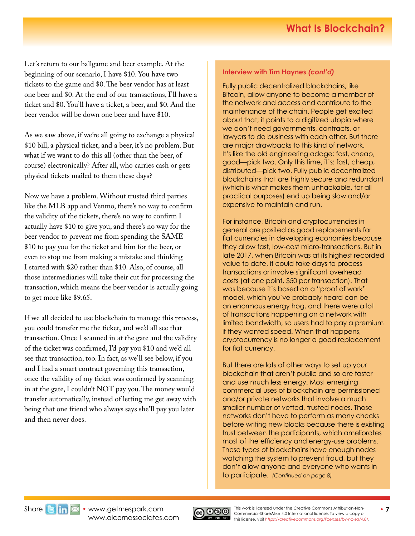Let's return to our ballgame and beer example. At the beginning of our scenario, I have \$10. You have two tickets to the game and \$0. The beer vendor has at least one beer and \$0. At the end of our transactions, I'll have a ticket and \$0. You'll have a ticket, a beer, and \$0. And the beer vendor will be down one beer and have \$10.

As we saw above, if we're all going to exchange a physical \$10 bill, a physical ticket, and a beer, it's no problem. But what if we want to do this all (other than the beer, of course) electronically? After all, who carries cash or gets physical tickets mailed to them these days?

Now we have a problem. Without trusted third parties like the MLB app and Venmo, there's no way to confirm the validity of the tickets, there's no way to confirm I actually have \$10 to give you, and there's no way for the beer vendor to prevent me from spending the SAME \$10 to pay you for the ticket and him for the beer, or even to stop me from making a mistake and thinking I started with \$20 rather than \$10. Also, of course, all those intermediaries will take their cut for processing the transaction, which means the beer vendor is actually going to get more like \$9.65.

If we all decided to use blockchain to manage this process, you could transfer me the ticket, and we'd all see that transaction. Once I scanned in at the gate and the validity of the ticket was confirmed, I'd pay you \$10 and we'd all see that transaction, too. In fact, as we'll see below, if you and I had a smart contract governing this transaction, once the validity of my ticket was confirmed by scanning in at the gate, I couldn't NOT pay you. The money would transfer automatically, instead of letting me get away with being that one friend who always says she'll pay you later and then never does.

#### **Interview with Tim Haynes** *(cont'd)*

Fully public decentralized blockchains, like Bitcoin, allow anyone to become a member of the network and access and contribute to the maintenance of the chain. People get excited about that; it points to a digitized utopia where we don't need governments, contracts, or lawyers to do business with each other. But there are major drawbacks to this kind of network. It's like the old engineering adage: fast, cheap, good—pick two. Only this time, it's: fast, cheap, distributed—pick two. Fully public decentralized blockchains that are highly secure and redundant (which is what makes them unhackable, for all practical purposes) end up being slow and/or expensive to maintain and run.

For instance, Bitcoin and cryptocurrencies in general are posited as good replacements for fiat currencies in developing economies because they allow fast, low-cost micro-transactions. But in late 2017, when Bitcoin was at its highest recorded value to date, it could take days to process transactions or involve significant overhead costs (at one point, \$50 per transaction). That was because it's based on a "proof of work" model, which you've probably heard can be an enormous energy hog, and there were a lot of transactions happening on a network with limited bandwidth, so users had to pay a premium if they wanted speed. When that happens, cryptocurrency is no longer a good replacement for fiat currency.

But there are lots of other ways to set up your blockchain that aren't public and so are faster and use much less energy. Most emerging commercial uses of blockchain are permissioned and/or private networks that involve a much smaller number of vetted, trusted nodes. Those networks don't have to perform as many checks before writing new blocks because there is existing trust between the participants, which ameliorates most of the efficiency and energy-use problems. These types of blockchains have enough nodes watching the system to prevent fraud, but they don't allow anyone and everyone who wants in to participate. *(Continued on page 8)*

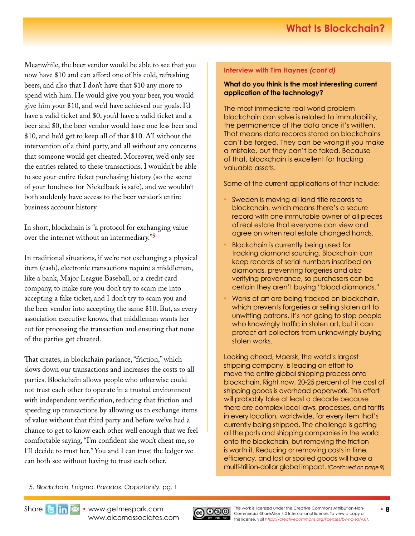Meanwhile, the beer vendor would be able to see that you now have \$10 and can afford one of his cold, refreshing beers, and also that I don't have that \$10 any more to spend with him. He would give you your beer, you would give him your \$10, and we'd have achieved our goals. I'd have a valid ticket and \$0, you'd have a valid ticket and a beer and \$0, the beer vendor would have one less beer and \$10, and he'd get to keep all of that \$10. All without the intervention of a third party, and all without any concerns that someone would get cheated. Moreover, we'd only see the entries related to these transactions. I wouldn't be able to see your entire ticket purchasing history (so the secret of your fondness for Nickelback is safe), and we wouldn't both suddenly have access to the beer vendor's entire business account history.

In short, blockchain is "a protocol for exchanging value over the internet without an intermediary."**<sup>5</sup>**

In traditional situations, if we're not exchanging a physical item (cash), electronic transactions require a middleman, like a bank, Major League Baseball, or a credit card company, to make sure you don't try to scam me into accepting a fake ticket, and I don't try to scam you and the beer vendor into accepting the same \$10. But, as every association executive knows, that middleman wants her cut for processing the transaction and ensuring that none of the parties get cheated.

That creates, in blockchain parlance, "friction," which slows down our transactions and increases the costs to all parties. Blockchain allows people who otherwise could not trust each other to operate in a trusted environment with independent verification, reducing that friction and speeding up transactions by allowing us to exchange items of value without that third party and before we've had a chance to get to know each other well enough that we feel comfortable saying, "I'm confident she won't cheat me, so I'll decide to trust her." You and I can trust the ledger we can both see without having to trust each other.

#### **Interview with Tim Haynes** *(cont'd)*

#### **What do you think is the most interesting current application of the technology?**

The most immediate real-world problem blockchain can solve is related to immutability, the permanence of the data once it's written. That means data records stored on blockchains can't be forged. They can be wrong if you make a mistake, but they can't be faked. Because of that, blockchain is excellent for tracking valuable assets.

Some of the current applications of that include:

- Sweden is moving all land title records to blockchain, which means there's a secure record with one immutable owner of all pieces of real estate that everyone can view and agree on when real estate changed hands.
- Blockchain is currently being used for tracking diamond sourcing. Blockchain can keep records of serial numbers inscribed on diamonds, preventing forgeries and also verifying provenance, so purchasers can be certain they aren't buying "blood diamonds."
- Works of art are being tracked on blockchain, which prevents forgeries or selling stolen art to unwitting patrons. It's not going to stop people who knowingly traffic in stolen art, but it can protect art collectors from unknowingly buying stolen works.

Looking ahead, Maersk, the world's largest shipping company, is leading an effort to move the entire global shipping process onto blockchain. Right now, 20-25 percent of the cost of shipping goods is overhead paperwork. This effort will probably take at least a decade because there are complex local laws, processes, and tariffs in every location, worldwide, for every item that's currently being shipped. The challenge is getting all the ports and shipping companies in the world onto the blockchain, but removing the friction is worth it. Reducing or removing costs in time, efficiency, and lost or spoiled goods will have a multi-trillion-dollar global impact. *(Continued on page 9)*

5. *Blockchain. Enigma. Paradox. Opportunity.* pg. 1

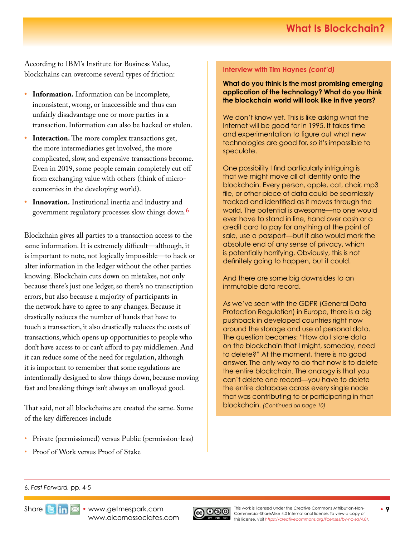According to IBM's Institute for Business Value, blockchains can overcome several types of friction:

- **• Information.** Information can be incomplete, inconsistent, wrong, or inaccessible and thus can unfairly disadvantage one or more parties in a transaction. Information can also be hacked or stolen.
- **Interaction.** The more complex transactions get, the more intermediaries get involved, the more complicated, slow, and expensive transactions become. Even in 2019, some people remain completely cut off from exchanging value with others (think of microeconomies in the developing world).
- **• Innovation.** Institutional inertia and industry and government regulatory processes slow things down.**<sup>6</sup>**

Blockchain gives all parties to a transaction access to the same information. It is extremely difficult—although, it is important to note, not logically impossible—to hack or alter information in the ledger without the other parties knowing. Blockchain cuts down on mistakes, not only because there's just one ledger, so there's no transcription errors, but also because a majority of participants in the network have to agree to any changes. Because it drastically reduces the number of hands that have to touch a transaction, it also drastically reduces the costs of transactions, which opens up opportunities to people who don't have access to or can't afford to pay middlemen. And it can reduce some of the need for regulation, although it is important to remember that some regulations are intentionally designed to slow things down, because moving fast and breaking things isn't always an unalloyed good.

That said, not all blockchains are created the same. Some of the key differences include

- Private (permissioned) versus Public (permission-less)
- Proof of Work versus Proof of Stake

#### **Interview with Tim Haynes** *(cont'd)*

**What do you think is the most promising emerging application of the technology? What do you think the blockchain world will look like in five years?**

We don't know yet. This is like asking what the Internet will be good for in 1995. It takes time and experimentation to figure out what new technologies are good for, so it's impossible to speculate.

One possibility I find particularly intriguing is that we might move all of identity onto the blockchain. Every person, apple, cat, chair, mp3 file, or other piece of data could be seamlessly tracked and identified as it moves through the world. The potential is awesome—no one would ever have to stand in line, hand over cash or a credit card to pay for anything at the point of sale, use a passport—but it also would mark the absolute end of any sense of privacy, which is potentially horrifying. Obviously, this is not definitely going to happen, but it could.

And there are some big downsides to an immutable data record.

As we've seen with the GDPR (General Data Protection Regulation) in Europe, there is a big pushback in developed countries right now around the storage and use of personal data. The question becomes: "How do I store data on the blockchain that I might, someday, need to delete?" At the moment, there is no good answer. The only way to do that now is to delete the entire blockchain. The analogy is that you can't delete one record—you have to delete the entire database across every single node that was contributing to or participating in that blockchain. *(Continued on page 10)*

#### 6. *Fast Forward,* pp. 4-5



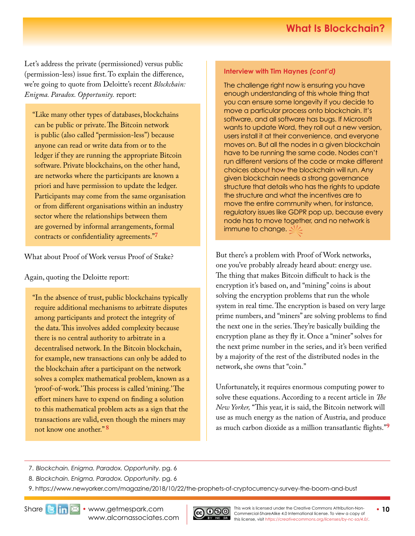# **What Is Blockchain?**

Let's address the private (permissioned) versus public (permission-less) issue first. To explain the difference, we're going to quote from Deloitte's recent *Blockchain: Enigma. Paradox. Opportunity.* report:

"Like many other types of databases, blockchains can be public or private. The Bitcoin network is public (also called "permission-less") because anyone can read or write data from or to the ledger if they are running the appropriate Bitcoin software. Private blockchains, on the other hand, are networks where the participants are known a priori and have permission to update the ledger. Participants may come from the same organisation or from different organisations within an industry sector where the relationships between them are governed by informal arrangements, formal contracts or confidentiality agreements."**<sup>7</sup>**

What about Proof of Work versus Proof of Stake?

Again, quoting the Deloitte report:

"In the absence of trust, public blockchains typically require additional mechanisms to arbitrate disputes among participants and protect the integrity of the data. This involves added complexity because there is no central authority to arbitrate in a decentralised network. In the Bitcoin blockchain, for example, new transactions can only be added to the blockchain after a participant on the network solves a complex mathematical problem, known as a 'proof-of-work.' This process is called 'mining.' The effort miners have to expend on finding a solution to this mathematical problem acts as a sign that the transactions are valid, even though the miners may not know one another." **<sup>8</sup>**

#### **Interview with Tim Haynes** *(cont'd)*

The challenge right now is ensuring you have enough understanding of this whole thing that you can ensure some longevity if you decide to move a particular process onto blockchain. It's software, and all software has bugs. If Microsoft wants to update Word, they roll out a new version, users install it at their convenience, and everyone moves on. But all the nodes in a given blockchain have to be running the same code. Nodes can't run different versions of the code or make different choices about how the blockchain will run. Any given blockchain needs a strong governance structure that details who has the rights to update the structure and what the incentives are to move the entire community when, for instance, regulatory issues like GDPR pop up, because every node has to move together, and no network is immune to change.  $\triangle$ 

But there's a problem with Proof of Work networks, one you've probably already heard about: energy use. The thing that makes Bitcoin difficult to hack is the encryption it's based on, and "mining" coins is about solving the encryption problems that run the whole system in real time. The encryption is based on very large prime numbers, and "miners" are solving problems to find the next one in the series. They're basically building the encryption plane as they fly it. Once a "miner" solves for the next prime number in the series, and it's been verified by a majority of the rest of the distributed nodes in the network, she owns that "coin."

Unfortunately, it requires enormous computing power to solve these equations. According to a recent article in *The New Yorker,* "This year, it is said, the Bitcoin network will use as much energy as the nation of Austria, and produce as much carbon dioxide as a million transatlantic flights."**[9](https://www.newyorker.com/magazine/2018/10/22/the-prophets-of-cryptocurrency-survey-the-boom-and-bust)**

7. *Blockchain. Enigma. Paradox. Opportunity.* pg. 6

8. *Blockchain. Enigma. Paradox. Opportunity.* pg. 6

9. https://www.newyorker.com/magazine/2018/10/22/the-prophets-of-cryptocurrency-survey-the-boom-and-bust

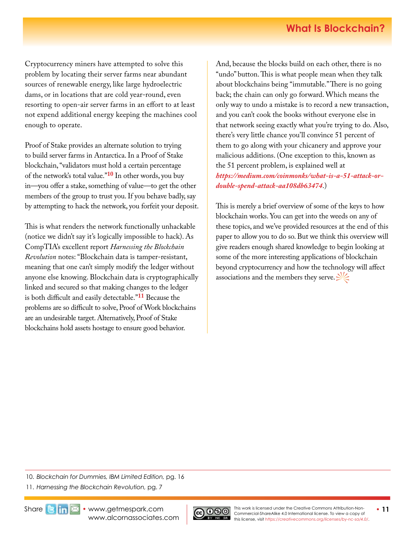Cryptocurrency miners have attempted to solve this problem by locating their server farms near abundant sources of renewable energy, like large hydroelectric dams, or in locations that are cold year-round, even resorting to open-air server farms in an effort to at least not expend additional energy keeping the machines cool enough to operate.

Proof of Stake provides an alternate solution to trying to build server farms in Antarctica. In a Proof of Stake blockchain, "validators must hold a certain percentage of the network's total value."**10** In other words, you buy in—you offer a stake, something of value—to get the other members of the group to trust you. If you behave badly, say by attempting to hack the network, you forfeit your deposit.

This is what renders the network functionally unhackable (notice we didn't say it's logically impossible to hack). As CompTIA's excellent report *Harnessing the Blockchain Revolution* notes: "Blockchain data is tamper-resistant, meaning that one can't simply modify the ledger without anyone else knowing. Blockchain data is cryptographically linked and secured so that making changes to the ledger is both difficult and easily detectable."**11** Because the problems are so difficult to solve, Proof of Work blockchains are an undesirable target. Alternatively, Proof of Stake blockchains hold assets hostage to ensure good behavior.

And, because the blocks build on each other, there is no "undo" button. This is what people mean when they talk about blockchains being "immutable." There is no going back; the chain can only go forward. Which means the only way to undo a mistake is to record a new transaction, and you can't cook the books without everyone else in that network seeing exactly what you're trying to do. Also, there's very little chance you'll convince 51 percent of them to go along with your chicanery and approve your malicious additions. (One exception to this, known as the 51 percent problem, is explained well at *[https://medium.com/coinmonks/what-is-a-51-attack-or](https://medium.com/coinmonks/what-is-a-51-attack-or-double-spend-attack-aa108db63474)[double-spend-attack-aa108db63474](https://medium.com/coinmonks/what-is-a-51-attack-or-double-spend-attack-aa108db63474)*.)

This is merely a brief overview of some of the keys to how blockchain works. You can get into the weeds on any of these topics, and we've provided resources at the end of this paper to allow you to do so. But we think this overview will give readers enough shared knowledge to begin looking at some of the more interesting applications of blockchain beyond cryptocurrency and how the technology will affect associations and the members they serve.  $\leq$ 

10. *Blockchain for Dummies, IBM Limited Edition,* pg. 16

11. *Harnessing the Blockchain Revolution,* pg. 7



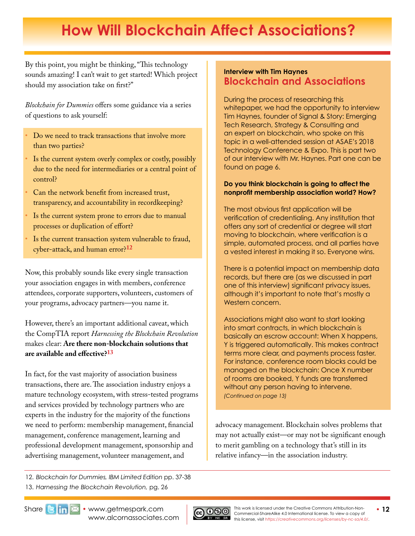# <span id="page-11-0"></span>**How Will Blockchain Affect Associations?**

By this point, you might be thinking, "This technology sounds amazing! I can't wait to get started! Which project should my association take on first?"

*Blockchain for Dummies* offers some guidance via a series of questions to ask yourself:

- Do we need to track transactions that involve more than two parties?
- Is the current system overly complex or costly, possibly due to the need for intermediaries or a central point of control?
- Can the network benefit from increased trust, transparency, and accountability in recordkeeping?
- Is the current system prone to errors due to manual processes or duplication of effort?
- Is the current transaction system vulnerable to fraud, cyber-attack, and human error?**<sup>12</sup>**

Now, this probably sounds like every single transaction your association engages in with members, conference attendees, corporate supporters, volunteers, customers of your programs, advocacy partners—you name it.

However, there's an important additional caveat, which the CompTIA report *Harnessing the Blockchain Revolution* makes clear: **Are there non-blockchain solutions that are available and effective?13**

In fact, for the vast majority of association business transactions, there are. The association industry enjoys a mature technology ecosystem, with stress-tested programs and services provided by technology partners who are experts in the industry for the majority of the functions we need to perform: membership management, financial management, conference management, learning and professional development management, sponsorship and advertising management, volunteer management, and

12. *Blockchain for Dummies, IBM Limited Edition* pp. 37-38 13. *Harnessing the Blockchain Revolution,* pg. 26

### **Interview with Tim Haynes Blockchain and Associations**

During the process of researching this whitepaper, we had the opportunity to interview Tim Haynes, founder of Signal & Story: Emerging Tech Research, Strategy & Consulting and an expert on blockchain, who spoke on this topic in a well-attended session at ASAE's 2018 Technology Conference & Expo. This is part two of our interview with Mr. Haynes. Part one can be found on page 6.

#### **Do you think blockchain is going to affect the nonprofit membership association world? How?**

The most obvious first application will be verification of credentialing. Any institution that offers any sort of credential or degree will start moving to blockchain, where verification is a simple, automated process, and all parties have a vested interest in making it so. Everyone wins.

There is a potential impact on membership data records, but there are (as we discussed in part one of this interview) significant privacy issues, although it's important to note that's mostly a Western concern.

Associations might also want to start looking into smart contracts, in which blockchain is basically an escrow account: When X happens, Y is triggered automatically. This makes contract terms more clear, and payments process faster. For instance, conference room blocks could be managed on the blockchain: Once X number of rooms are booked, Y funds are transferred without any person having to intervene. *(Continued on page 13)*

advocacy management. Blockchain solves problems that may not actually exist—or may not be significant enough to merit gambling on a technology that's still in its relative infancy—in the association industry.



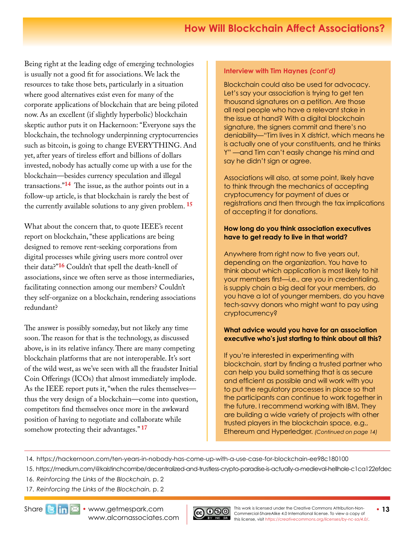Being right at the leading edge of emerging technologies is usually not a good fit for associations. We lack the resources to take those bets, particularly in a situation where good alternatives exist even for many of the corporate applications of blockchain that are being piloted now. As an excellent (if slightly hyperbolic) blockchain skeptic author puts it on Hackernoon: "Everyone says the blockchain, the technology underpinning cryptocurrencies such as bitcoin, is going to change EVERYTHING. And yet, after years of tireless effort and billions of dollars invested, nobody has actually come up with a use for the blockchain—besides currency speculation and illegal transactions."**[14](https://hackernoon.com/ten-years-in-nobody-has-come-up-with-a-use-case-for-blockchain-ee98c180100)** The issue, as the author points out in a follow-up article, is that blockchain is rarely the best of the currently available solutions to any given problem. **[15](https://medium.com/@kaistinchcombe/decentralized-and-trustless-crypto-paradise-is-actually-a-medieval-hellhole-c1ca122efdec)**

What about the concern that, to quote IEEE's recent report on blockchain, "these applications are being designed to remove rent-seeking corporations from digital processes while giving users more control over their data?"**16** Couldn't that spell the death-knell of associations, since we often serve as those intermediaries, facilitating connection among our members? Couldn't they self-organize on a blockchain, rendering associations redundant?

The answer is possibly someday, but not likely any time soon. The reason for that is the technology, as discussed above, is in its relative infancy. There are many competing blockchain platforms that are not interoperable. It's sort of the wild west, as we've seen with all the fraudster Initial Coin Offerings (ICOs) that almost immediately implode. As the IEEE report puts it, "when the rules themselves thus the very design of a blockchain—come into question, competitors find themselves once more in the awkward position of having to negotiate and collaborate while somehow protecting their advantages." **<sup>17</sup>**

### **Interview with Tim Haynes** *(cont'd)*

Blockchain could also be used for advocacy. Let's say your association is trying to get ten thousand signatures on a petition. Are those all real people who have a relevant stake in the issue at hand? With a digital blockchain signature, the signers commit and there's no deniability—"Tim lives in X district, which means he is actually one of your constituents, and he thinks Y" —and Tim can't easily change his mind and say he didn't sign or agree.

Associations will also, at some point, likely have to think through the mechanics of accepting cryptocurrency for payment of dues or registrations and then through the tax implications of accepting it for donations.

#### **How long do you think association executives have to get ready to live in that world?**

Anywhere from right now to five years out, depending on the organization. You have to think about which application is most likely to hit your members first—i.e., are you in credentialing, is supply chain a big deal for your members, do you have a lot of younger members, do you have tech-savvy donors who might want to pay using cryptocurrency?

#### **What advice would you have for an association executive who's just starting to think about all this?**

If you're interested in experimenting with blockchain, start by finding a trusted partner who can help you build something that is as secure and efficient as possible and will work with you to put the regulatory processes in place so that the participants can continue to work together in the future. I recommend working with IBM. They are building a wide variety of projects with other trusted players in the blockchain space, e.g., Ethereum and Hyperledger. *(Continued on page 14)*

14. https://hackernoon.com/ten-years-in-nobody-has-come-up-with-a-use-case-for-blockchain-ee98c180100

- 15. https://medium.com/@kaistinchcombe/decentralized-and-trustless-crypto-paradise-is-actually-a-medieval-hellhole-c1ca122efdec
- 16. *Reinforcing the Links of the Blockchain,* p. 2
- 17. *Reinforcing the Links of the Blockchain,* p. 2

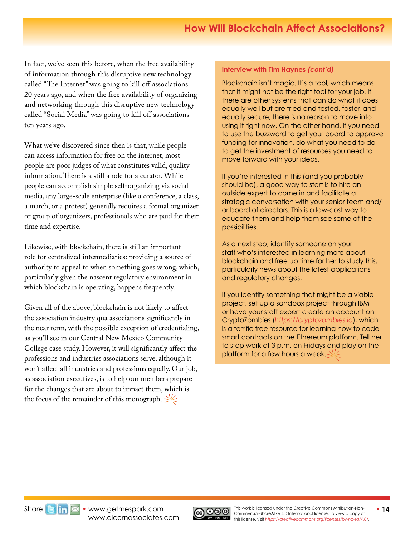In fact, we've seen this before, when the free availability of information through this disruptive new technology called "The Internet" was going to kill off associations 20 years ago, and when the free availability of organizing and networking through this disruptive new technology called "Social Media" was going to kill off associations ten years ago.

What we've discovered since then is that, while people can access information for free on the internet, most people are poor judges of what constitutes valid, quality information. There is a still a role for a curator. While people can accomplish simple self-organizing via social media, any large-scale enterprise (like a conference, a class, a march, or a protest) generally requires a formal organizer or group of organizers, professionals who are paid for their time and expertise.

Likewise, with blockchain, there is still an important role for centralized intermediaries: providing a source of authority to appeal to when something goes wrong, which, particularly given the nascent regulatory environment in which blockchain is operating, happens frequently.

Given all of the above, blockchain is not likely to affect the association industry qua associations significantly in the near term, with the possible exception of credentialing, as you'll see in our Central New Mexico Community College case study. However, it will significantly affect the professions and industries associations serve, although it won't affect all industries and professions equally. Our job, as association executives, is to help our members prepare for the changes that are about to impact them, which is the focus of the remainder of this monograph.  $\frac{1}{2}$ 

### **Interview with Tim Haynes** *(cont'd)*

Blockchain isn't magic. It's a tool, which means that it might not be the right tool for your job. If there are other systems that can do what it does equally well but are tried and tested, faster, and equally secure, there is no reason to move into using it right now. On the other hand, if you need to use the buzzword to get your board to approve funding for innovation, do what you need to do to get the investment of resources you need to move forward with your ideas.

If you're interested in this (and you probably should be), a good way to start is to hire an outside expert to come in and facilitate a strategic conversation with your senior team and/ or board of directors. This is a low-cost way to educate them and help them see some of the possibilities.

As a next step, identify someone on your staff who's interested in learning more about blockchain and free up time for her to study this, particularly news about the latest applications and regulatory changes.

If you identify something that might be a viable project, set up a sandbox project through IBM or have your staff expert create an account on CryptoZombies (*<https://cryptozombies.io>*), which is a terrific free resource for learning how to code smart contracts on the Ethereum platform. Tell her to stop work at 3 p.m. on Fridays and play on the platform for a few hours a week.  $\leq$ 

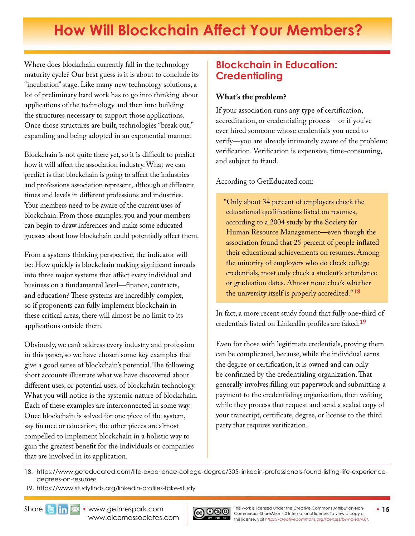# <span id="page-14-0"></span>**How Will Blockchain Affect Your Members?**

Where does blockchain currently fall in the technology maturity cycle? Our best guess is it is about to conclude its "incubation" stage. Like many new technology solutions, a lot of preliminary hard work has to go into thinking about applications of the technology and then into building the structures necessary to support those applications. Once those structures are built, technologies "break out," expanding and being adopted in an exponential manner.

Blockchain is not quite there yet, so it is difficult to predict how it will affect the association industry. What we can predict is that blockchain is going to affect the industries and professions association represent, although at different times and levels in different professions and industries. Your members need to be aware of the current uses of blockchain. From those examples, you and your members can begin to draw inferences and make some educated guesses about how blockchain could potentially affect them.

From a systems thinking perspective, the indicator will be: How quickly is blockchain making significant inroads into three major systems that affect every individual and business on a fundamental level—finance, contracts, and education? These systems are incredibly complex, so if proponents can fully implement blockchain in these critical areas, there will almost be no limit to its applications outside them.

Obviously, we can't address every industry and profession in this paper, so we have chosen some key examples that give a good sense of blockchain's potential. The following short accounts illustrate what we have discovered about different uses, or potential uses, of blockchain technology. What you will notice is the systemic nature of blockchain. Each of these examples are interconnected in some way. Once blockchain is solved for one piece of the system, say finance or education, the other pieces are almost compelled to implement blockchain in a holistic way to gain the greatest benefit for the individuals or companies that are involved in its application.

# **Blockchain in Education: Credentialing**

### **What's the problem?**

If your association runs any type of certification, accreditation, or credentialing process—or if you've ever hired someone whose credentials you need to verify—you are already intimately aware of the problem: verification. Verification is expensive, time-consuming, and subject to fraud.

According to GetEducated.com:

"Only about 34 percent of employers check the educational qualifications listed on resumes, according to a 2004 study by the Society for Human Resource Management—even though the association found that 25 percent of people inflated their educational achievements on resumes. Among the minority of employers who do check college credentials, most only check a student's attendance or graduation dates. Almost none check whether the university itself is properly accredited." **[18](https://www.geteducated.com/life-experience-college-degree/305-linkedin-professionals-found-listing-life-experience-degrees-on-resumes)**

In fact, a more recent study found that fully one-third of credentials listed on LinkedIn profiles are faked.**[19](https://www.studyfinds.org/linkedin-profiles-fake-study)**

Even for those with legitimate credentials, proving them can be complicated, because, while the individual earns the degree or certification, it is owned and can only be confirmed by the credentialing organization. That generally involves filling out paperwork and submitting a payment to the credentialing organization, then waiting while they process that request and send a sealed copy of your transcript, certificate, degree, or license to the third party that requires verification.

18. [https://www.geteducated.com/life-experience-college-degree/305-linkedin-professionals-found-listing-life-experience](https://www.geteducated.com/life-experience-college-degree/305-linkedin-professionals-found-listing-life-experience-degrees-on-resumes)[degrees-on-resumes](https://www.geteducated.com/life-experience-college-degree/305-linkedin-professionals-found-listing-life-experience-degrees-on-resumes)

 19. <https://www.studyfinds.org/linkedin-profiles-fake-study>

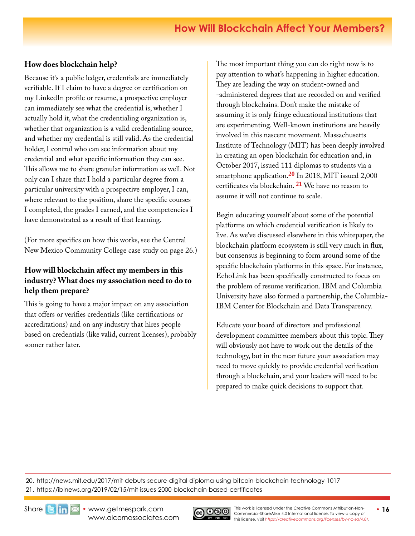## **How does blockchain help?**

Because it's a public ledger, credentials are immediately verifiable. If I claim to have a degree or certification on my LinkedIn profile or resume, a prospective employer can immediately see what the credential is, whether I actually hold it, what the credentialing organization is, whether that organization is a valid credentialing source, and whether my credential is still valid. As the credential holder, I control who can see information about my credential and what specific information they can see. This allows me to share granular information as well. Not only can I share that I hold a particular degree from a particular university with a prospective employer, I can, where relevant to the position, share the specific courses I completed, the grades I earned, and the competencies I have demonstrated as a result of that learning.

(For more specifics on how this works, see the Central New Mexico Community College case study on page 26.)

### **How will blockchain affect my members in this industry? What does my association need to do to help them prepare?**

This is going to have a major impact on any association that offers or verifies credentials (like certifications or accreditations) and on any industry that hires people based on credentials (like valid, current licenses), probably sooner rather later.

The most important thing you can do right now is to pay attention to what's happening in higher education. They are leading the way on student-owned and -administered degrees that are recorded on and verified through blockchains. Don't make the mistake of assuming it is only fringe educational institutions that are experimenting. Well-known institutions are heavily involved in this nascent movement. Massachusetts Institute of Technology (MIT) has been deeply involved in creating an open blockchain for education and, in October 2017, issued 111 diplomas to students via a smartphone application.**[2](http://news.mit.edu/2017/mit-debuts-secure-digital-diploma-using-bitcoin-blockchain-technology-1017)0** In 2018, MIT issued 2,000 certificates via blockchain. **[2](https://iblnews.org/2019/02/15/mit-issues-2000-blockchain-based-certificates)1** We have no reason to assume it will not continue to scale.

Begin educating yourself about some of the potential platforms on which credential verification is likely to live. As we've discussed elsewhere in this whitepaper, the blockchain platform ecosystem is still very much in flux, but consensus is beginning to form around some of the specific blockchain platforms in this space. For instance, EchoLink has been specifically constructed to focus on the problem of resume verification. IBM and Columbia University have also formed a partnership, the Columbia-IBM Center for Blockchain and Data Transparency.

Educate your board of directors and professional development committee members about this topic. They will obviously not have to work out the details of the technology, but in the near future your association may need to move quickly to provide credential verification through a blockchain, and your leaders will need to be prepared to make quick decisions to support that.

20. http://news.mit.edu/2017/mit-debuts-secure-digital-diploma-using-bitcoin-blockchain-technology-1017 21. https://iblnews.org/2019/02/15/mit-issues-2000-blockchain-based-certificates



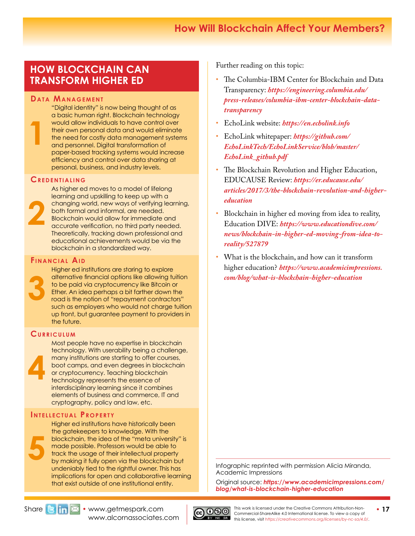# **How Will Blockchain Affect Your Members?**

## **HOW BLOCKCHAIN CAN TRANSFORM HIGHER ED**

#### **DATA MANAGEMENT**

"Digital identity" is now being thought of as a basic human right. Blockchain technology would allow individuals to have control over their own personal data and would eliminate the need for costly data management systems and personnel. Digital transformation of paper-based tracking systems would increase efficiency and control over data sharing at personal, business, and industry levels.

#### **Cr e d e n t i a l i n g**

**1**

As higher ed moves to a model of lifelong learning and upskilling to keep up with a changing world, new ways of verifying learning, both formal and informal, are needed. Blockchain would allow for immediate and accurate verification, no third party needed. Theoretically, tracking down professional and educational achievements would be via the blockchain in a standardized way.

#### **FINANCIAL AID**



**4**

**2**

Higher ed institutions are staring to explore alternative financial options like allowing tuition to be paid via cryptocurrency like Bitcoin or Ether. An idea perhaps a bit farther down the road is the notion of "repayment contractors" such as employers who would not charge tuition up front, but guarantee payment to providers in the future.

### CURRICULUM

Most people have no expertise in blockchain technology. With userability being a challenge, many institutions are starting to offer courses, boot camps, and even degrees in blockchain or cryptocurrency. Teaching blockchain technology represents the essence of interdisciplinary learning since it combines elements of business and commerce, IT and cryptography, policy and law, etc.

#### **INTELLECTUAL PROPERTY**

Higher ed institutions have historically been the gatekeepers to knowledge. With the blockchain, the idea of the "meta university" is made possible. Professors would be able to track the usage of their intellectual property by making it fully open via the blockchain but undeniably tied to the rightful owner. This has implications for open and collaborative learning that exist outside of one institutional entity.

Further reading on this topic:

- The Columbia-IBM Center for Blockchain and Data Transparency: *[https://engineering.columbia.edu/](https://engineering.columbia.edu/press-releases/columbia-ibm-center-blockchain-data-transparency) [press-releases/columbia-ibm-center-blockchain-data](https://engineering.columbia.edu/press-releases/columbia-ibm-center-blockchain-data-transparency)[transparency](https://engineering.columbia.edu/press-releases/columbia-ibm-center-blockchain-data-transparency)*
- EchoLink website: *https://en.echolink.info*
- EchoLink whitepaper: *[https://github.com/](https://github.com/EchoLinkTech/EchoLinkService/blob/master/EchoLink_github.pdf) [EchoLinkTech/EchoLinkService/blob/master/](https://github.com/EchoLinkTech/EchoLinkService/blob/master/EchoLink_github.pdf) [EchoLink\\_github.pdf](https://github.com/EchoLinkTech/EchoLinkService/blob/master/EchoLink_github.pdf)*
- The Blockchain Revolution and Higher Education, EDUCAUSE Review: *[https://er.educause.edu/](https://er.educause.edu/articles/2017/3/the-blockchain-revolution-and-higher-education) [articles/2017/3/the-blockchain-revolution-and-higher](https://er.educause.edu/articles/2017/3/the-blockchain-revolution-and-higher-education)[education](https://er.educause.edu/articles/2017/3/the-blockchain-revolution-and-higher-education)*
- Blockchain in higher ed moving from idea to reality, Education DIVE: *[https://www.educationdive.com/](https://www.educationdive.com/news/blockchain-in-higher-ed-moving-from-idea-to-reality/527879) [news/blockchain-in-higher-ed-moving-from-idea-to](https://www.educationdive.com/news/blockchain-in-higher-ed-moving-from-idea-to-reality/527879)[reality/527879](https://www.educationdive.com/news/blockchain-in-higher-ed-moving-from-idea-to-reality/527879)*
- What is the blockchain, and how can it transform higher education? *[https://www.academicimpressions.](https://www.academicimpressions.com/blog/what-is-blockchain-higher-education) [com/blog/what-is-blockchain-higher-education](https://www.academicimpressions.com/blog/what-is-blockchain-higher-education)*

Infographic reprinted with permission Alicia Miranda, Academic Impressions

Original source: *[https://www.academicimpressions.com/](https://www.academicimpressions.com/blog/what-is-blockchain-higher-education) [blog/what-is-blockchain-higher-education](https://www.academicimpressions.com/blog/what-is-blockchain-higher-education)*



**5**

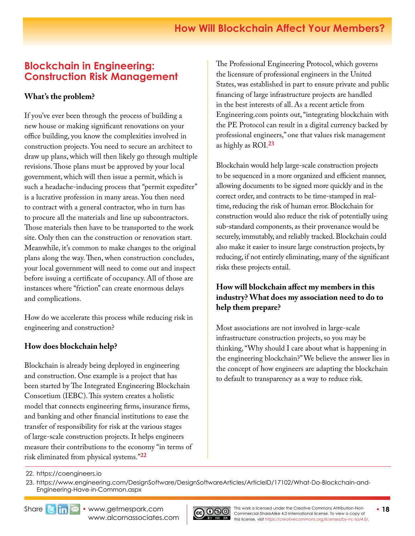# <span id="page-17-0"></span>**Blockchain in Engineering: Construction Risk Management**

### **What's the problem?**

If you've ever been through the process of building a new house or making significant renovations on your office building, you know the complexities involved in construction projects. You need to secure an architect to draw up plans, which will then likely go through multiple revisions. Those plans must be approved by your local government, which will then issue a permit, which is such a headache-inducing process that "permit expediter" is a lucrative profession in many areas. You then need to contract with a general contractor, who in turn has to procure all the materials and line up subcontractors. Those materials then have to be transported to the work site. Only then can the construction or renovation start. Meanwhile, it's common to make changes to the original plans along the way. Then, when construction concludes, your local government will need to come out and inspect before issuing a certificate of occupancy. All of those are instances where "friction" can create enormous delays and complications.

How do we accelerate this process while reducing risk in engineering and construction?

## **How does blockchain help?**

Blockchain is already being deployed in engineering and construction. One example is a project that has been started by The Integrated Engineering Blockchain Consortium (IEBC). This system creates a holistic model that connects engineering firms, insurance firms, and banking and other financial institutions to ease the transfer of responsibility for risk at the various stages of large-scale construction projects. It helps engineers measure their contributions to the economy "in terms of risk eliminated from physical systems."**[22](https://coengineers.io)**

The Professional Engineering Protocol, which governs the licensure of professional engineers in the United States, was established in part to ensure private and public financing of large infrastructure projects are handled in the best interests of all. As a recent article from Engineering.com points out, "integrating blockchain with the PE Protocol can result in a digital currency backed by professional engineers," one that values risk management as highly as ROI.**[2](https://www.engineering.com/DesignSoftware/DesignSoftwareArticles/ArticleID/17102/What-Do-Blockchain-and-Engineering-Have-in-Common.aspx)3**

Blockchain would help large-scale construction projects to be sequenced in a more organized and efficient manner, allowing documents to be signed more quickly and in the correct order, and contracts to be time-stamped in realtime, reducing the risk of human error. Blockchain for construction would also reduce the risk of potentially using sub-standard components, as their provenance would be securely, immutably, and reliably tracked. Blockchain could also make it easier to insure large construction projects, by reducing, if not entirely eliminating, many of the significant risks these projects entail.

### **How will blockchain affect my members in this industry? What does my association need to do to help them prepare?**

Most associations are not involved in large-scale infrastructure construction projects, so you may be thinking, "Why should I care about what is happening in the engineering blockchain?" We believe the answer lies in the concept of how engineers are adapting the blockchain to default to transparency as a way to reduce risk.



<sup>22.</sup> https://coengineers.io

<sup>23.</sup> [https://www.engineering.com/DesignSoftware/DesignSoftwareArticles/ArticleID/17102/What-Do-Blockchain-and-](https://www.engineering.com/DesignSoftware/DesignSoftwareArticles/ArticleID/17102/What-Do-Blockchain-and-Engineering-Have-in-Common.aspx)[Engineering-Have-in-Common.aspx](https://www.engineering.com/DesignSoftware/DesignSoftwareArticles/ArticleID/17102/What-Do-Blockchain-and-Engineering-Have-in-Common.aspx)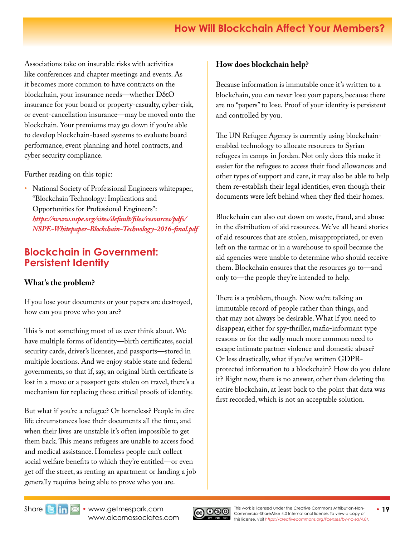<span id="page-18-0"></span>Associations take on insurable risks with activities like conferences and chapter meetings and events. As it becomes more common to have contracts on the blockchain, your insurance needs—whether D&O insurance for your board or property-casualty, cyber-risk, or event-cancellation insurance—may be moved onto the blockchain. Your premiums may go down if you're able to develop blockchain-based systems to evaluate board performance, event planning and hotel contracts, and cyber security compliance.

Further reading on this topic:

• National Society of Professional Engineers whitepaper, "Blockchain Technology: Implications and Opportunities for Professional Engineers": *[https://www.nspe.org/sites/default/files/resources/pdfs/](https://www.nspe.org/sites/default/files/resources/pdfs/NSPE-Whitepaper-Blockchain-Technology-2016-final.pdf) [NSPE-Whitepaper-Blockchain-Technology-2016-final.pdf](https://www.nspe.org/sites/default/files/resources/pdfs/NSPE-Whitepaper-Blockchain-Technology-2016-final.pdf)* 

# **Blockchain in Government: Persistent Identity**

## **What's the problem?**

If you lose your documents or your papers are destroyed, how can you prove who you are?

This is not something most of us ever think about. We have multiple forms of identity—birth certificates, social security cards, driver's licenses, and passports—stored in multiple locations. And we enjoy stable state and federal governments, so that if, say, an original birth certificate is lost in a move or a passport gets stolen on travel, there's a mechanism for replacing those critical proofs of identity.

But what if you're a refugee? Or homeless? People in dire life circumstances lose their documents all the time, and when their lives are unstable it's often impossible to get them back. This means refugees are unable to access food and medical assistance. Homeless people can't collect social welfare benefits to which they're entitled—or even get off the street, as renting an apartment or landing a job generally requires being able to prove who you are.

## **How does blockchain help?**

Because information is immutable once it's written to a blockchain, you can never lose your papers, because there are no "papers" to lose. Proof of your identity is persistent and controlled by you.

The UN Refugee Agency is currently using blockchainenabled technology to allocate resources to Syrian refugees in camps in Jordan. Not only does this make it easier for the refugees to access their food allowances and other types of support and care, it may also be able to help them re-establish their legal identities, even though their documents were left behind when they fled their homes.

Blockchain can also cut down on waste, fraud, and abuse in the distribution of aid resources. We've all heard stories of aid resources that are stolen, misappropriated, or even left on the tarmac or in a warehouse to spoil because the aid agencies were unable to determine who should receive them. Blockchain ensures that the resources go to—and only to—the people they're intended to help.

There is a problem, though. Now we're talking an immutable record of people rather than things, and that may not always be desirable. What if you need to disappear, either for spy-thriller, mafia-informant type reasons or for the sadly much more common need to escape intimate partner violence and domestic abuse? Or less drastically, what if you've written GDPRprotected information to a blockchain? How do you delete it? Right now, there is no answer, other than deleting the entire blockchain, at least back to the point that data was first recorded, which is not an acceptable solution.

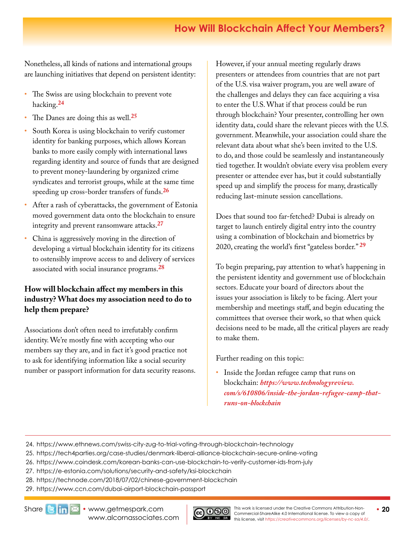# **How Will Blockchain Affect Your Members?**

Nonetheless, all kinds of nations and international groups are launching initiatives that depend on persistent identity:

- The Swiss are using blockchain to prevent vote hacking.**24**
- The Danes are doing this as well.**[25](https://tech4parties.org/case-studies/denmark-liberal-alliance-blockchain-secure-online-voting)**
- South Korea is using blockchain to verify customer identity for banking purposes, which allows Korean banks to more easily comply with international laws regarding identity and source of funds that are designed to prevent money-laundering by organized crime syndicates and terrorist groups, while at the same time speeding up cross-border transfers of funds.**[26](https://www.coindesk.com/korean-banks-can-use-blockchain-to-verify-customer-ids-from-july)**
- After a rash of cyberattacks, the government of Estonia moved government data onto the blockchain to ensure integrity and prevent ransomware attacks.**[27](https://e-estonia.com/solutions/security-and-safety/ksi-blockchain)**
- China is aggressively moving in the direction of developing a virtual blockchain identity for its citizens to ostensibly improve access to and delivery of services associated with social insurance programs.**[28](https://technode.com/2018/07/02/chinese-government-blockchain)**

## **How will blockchain affect my members in this industry? What does my association need to do to help them prepare?**

Associations don't often need to irrefutably confirm identity. We're mostly fine with accepting who our members say they are, and in fact it's good practice not to ask for identifying information like a social security number or passport information for data security reasons. However, if your annual meeting regularly draws presenters or attendees from countries that are not part of the U.S. visa waiver program, you are well aware of the challenges and delays they can face acquiring a visa to enter the U.S. What if that process could be run through blockchain? Your presenter, controlling her own identity data, could share the relevant pieces with the U.S. government. Meanwhile, your association could share the relevant data about what she's been invited to the U.S. to do, and those could be seamlessly and instantaneously tied together. It wouldn't obviate every visa problem every presenter or attendee ever has, but it could substantially speed up and simplify the process for many, drastically reducing last-minute session cancellations.

Does that sound too far-fetched? Dubai is already on target to launch entirely digital entry into the country using a combination of blockchain and biometrics by 2020, creating the world's first "gateless border." **[29](https://www.ccn.com/dubai-airport-blockchain-passport)**

To begin preparing, pay attention to what's happening in the persistent identity and government use of blockchain sectors. Educate your board of directors about the issues your association is likely to be facing. Alert your membership and meetings staff, and begin educating the committees that oversee their work, so that when quick decisions need to be made, all the critical players are ready to make them.

Further reading on this topic:

• Inside the Jordan refugee camp that runs on blockchain: *[https://www.technologyreview.](https://www.technologyreview.com/s/610806/inside-the-jordan-refugee-camp-that-runs-on-blockchain) [com/s/610806/inside-the-jordan-refugee-camp-that](https://www.technologyreview.com/s/610806/inside-the-jordan-refugee-camp-that-runs-on-blockchain)[runs-on-blockchain](https://www.technologyreview.com/s/610806/inside-the-jordan-refugee-camp-that-runs-on-blockchain)*

- 25. https://tech4parties.org/case-studies/denmark-liberal-alliance-blockchain-secure-online-voting
- 26. https://www.coindesk.com/korean-banks-can-use-blockchain-to-verify-customer-ids-from-july
- 27. https://e-estonia.com/solutions/security-and-safety/ksi-blockchain
- 28. https://technode.com/2018/07/02/chinese-government-blockchain
- 29. https://www.ccn.com/dubai-airport-blockchain-passport



<sup>24.</sup> <https://www.ethnews.com/swiss-city-zug-to-trial-voting-through-blockchain-technology>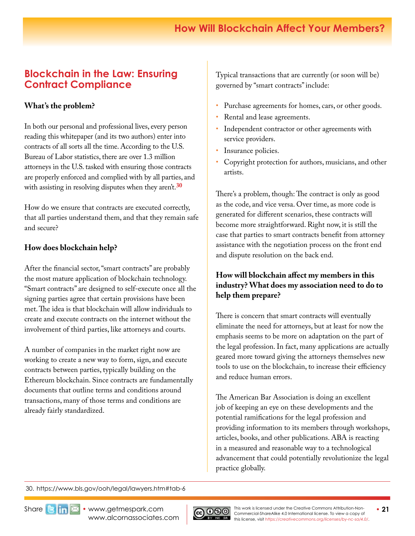# <span id="page-20-0"></span>**Blockchain in the Law: Ensuring Contract Compliance**

### **What's the problem?**

In both our personal and professional lives, every person reading this whitepaper (and its two authors) enter into contracts of all sorts all the time. According to the U.S. Bureau of Labor statistics, there are over 1.3 million attorneys in the U.S. tasked with ensuring those contracts are properly enforced and complied with by all parties, and with assisting in resolving disputes when they aren't.**[3](https://www.bls.gov/ooh/legal/lawyers.htm#tab-6)0**

How do we ensure that contracts are executed correctly, that all parties understand them, and that they remain safe and secure?

### **How does blockchain help?**

After the financial sector, "smart contracts" are probably the most mature application of blockchain technology. "Smart contracts" are designed to self-execute once all the signing parties agree that certain provisions have been met. The idea is that blockchain will allow individuals to create and execute contracts on the internet without the involvement of third parties, like attorneys and courts.

A number of companies in the market right now are working to create a new way to form, sign, and execute contracts between parties, typically building on the Ethereum blockchain. Since contracts are fundamentally documents that outline terms and conditions around transactions, many of those terms and conditions are already fairly standardized.

Typical transactions that are currently (or soon will be) governed by "smart contracts" include:

- Purchase agreements for homes, cars, or other goods.
- Rental and lease agreements.
- Independent contractor or other agreements with service providers.
- Insurance policies.
- Copyright protection for authors, musicians, and other artists.

There's a problem, though: The contract is only as good as the code, and vice versa. Over time, as more code is generated for different scenarios, these contracts will become more straightforward. Right now, it is still the case that parties to smart contracts benefit from attorney assistance with the negotiation process on the front end and dispute resolution on the back end.

### **How will blockchain affect my members in this industry? What does my association need to do to help them prepare?**

There is concern that smart contracts will eventually eliminate the need for attorneys, but at least for now the emphasis seems to be more on adaptation on the part of the legal profession. In fact, many applications are actually geared more toward giving the attorneys themselves new tools to use on the blockchain, to increase their efficiency and reduce human errors.

The American Bar Association is doing an excellent job of keeping an eye on these developments and the potential ramifications for the legal profession and providing information to its members through workshops, articles, books, and other publications. ABA is reacting in a measured and reasonable way to a technological advancement that could potentially revolutionize the legal practice globally.

30. https://www.bls.gov/ooh/legal/lawyers.htm#tab-6



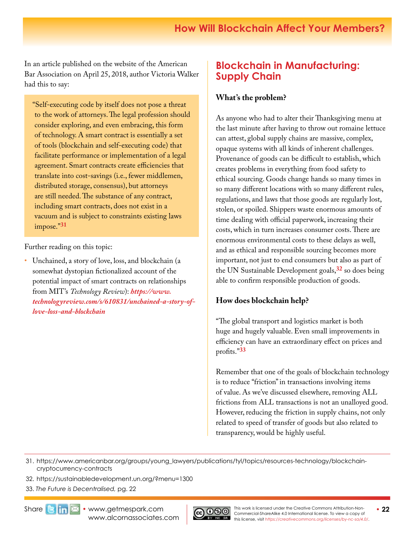<span id="page-21-0"></span>In an article published on the website of the American Bar Association on April 25, 2018, author Victoria Walker had this to say:

"Self-executing code by itself does not pose a threat to the work of attorneys. The legal profession should consider exploring, and even embracing, this form of technology. A smart contract is essentially a set of tools (blockchain and self-executing code) that facilitate performance or implementation of a legal agreement. Smart contracts create efficiencies that translate into cost-savings (i.e., fewer middlemen, distributed storage, consensus), but attorneys are still needed. The substance of any contract, including smart contracts, does not exist in a vacuum and is subject to constraints existing laws impose."**[31](https://www.americanbar.org/groups/young_lawyers/publications/tyl/topics/resources-technology/blockchain-cryptocurrency-contracts)**

Further reading on this topic:

• Unchained, a story of love, loss, and blockchain (a somewhat dystopian fictionalized account of the potential impact of smart contracts on relationships from MIT's *Technology Review*): *[https://www.](https://www.technologyreview.com/s/610831/unchained-a-story-of-love-loss-and-blockchain) [technologyreview.com/s/610831/unchained-a-story-of](https://www.technologyreview.com/s/610831/unchained-a-story-of-love-loss-and-blockchain)[love-loss-and-blockchain](https://www.technologyreview.com/s/610831/unchained-a-story-of-love-loss-and-blockchain)* 

# **Blockchain in Manufacturing: Supply Chain**

### **What's the problem?**

As anyone who had to alter their Thanksgiving menu at the last minute after having to throw out romaine lettuce can attest, global supply chains are massive, complex, opaque systems with all kinds of inherent challenges. Provenance of goods can be difficult to establish, which creates problems in everything from food safety to ethical sourcing. Goods change hands so many times in so many different locations with so many different rules, regulations, and laws that those goods are regularly lost, stolen, or spoiled. Shippers waste enormous amounts of time dealing with official paperwork, increasing their costs, which in turn increases consumer costs. There are enormous environmental costs to these delays as well, and as ethical and responsible sourcing becomes more important, not just to end consumers but also as part of the UN Sustainable Development goals,**[32](https://sustainabledevelopment.un.org/?menu=1300)** so does being able to confirm responsible production of goods.

## **How does blockchain help?**

"The global transport and logistics market is both huge and hugely valuable. Even small improvements in efficiency can have an extraordinary effect on prices and profits."**33**

Remember that one of the goals of blockchain technology is to reduce "friction" in transactions involving items of value. As we've discussed elsewhere, removing ALL frictions from ALL transactions is not an unalloyed good. However, reducing the friction in supply chains, not only related to speed of transfer of goods but also related to transparency, would be highly useful.

31. [https://www.americanbar.org/groups/young\\_lawyers/publications/tyl/topics/resources-technology/blockchain](https://www.americanbar.org/groups/young_lawyers/publications/tyl/topics/resources-technology/blockchain-cryptocurrency-contracts)[cryptocurrency-contracts](https://www.americanbar.org/groups/young_lawyers/publications/tyl/topics/resources-technology/blockchain-cryptocurrency-contracts)

- 32. https://sustainabledevelopment.un.org/?menu=1300
- 33. *The Future is Decentralised,* pg. 22



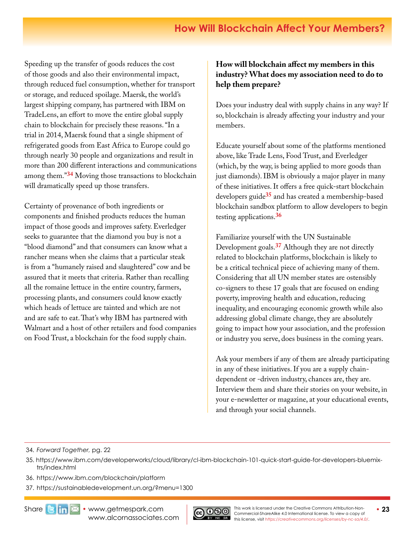Speeding up the transfer of goods reduces the cost of those goods and also their environmental impact, through reduced fuel consumption, whether for transport or storage, and reduced spoilage. Maersk, the world's largest shipping company, has partnered with IBM on TradeLens, an effort to move the entire global supply chain to blockchain for precisely these reasons. "In a trial in 2014, Maersk found that a single shipment of refrigerated goods from East Africa to Europe could go through nearly 30 people and organizations and result in more than 200 different interactions and communications among them."**34** Moving those transactions to blockchain will dramatically speed up those transfers.

Certainty of provenance of both ingredients or components and finished products reduces the human impact of those goods and improves safety. Everledger seeks to guarantee that the diamond you buy is not a "blood diamond" and that consumers can know what a rancher means when she claims that a particular steak is from a "humanely raised and slaughtered" cow and be assured that it meets that criteria. Rather than recalling all the romaine lettuce in the entire country, farmers, processing plants, and consumers could know exactly which heads of lettuce are tainted and which are not and are safe to eat. That's why IBM has partnered with Walmart and a host of other retailers and food companies on Food Trust, a blockchain for the food supply chain.

### **How will blockchain affect my members in this industry? What does my association need to do to help them prepare?**

Does your industry deal with supply chains in any way? If so, blockchain is already affecting your industry and your members.

Educate yourself about some of the platforms mentioned above, like Trade Lens, Food Trust, and Everledger (which, by the way, is being applied to more goods than just diamonds). IBM is obviously a major player in many of these initiatives. It offers a free quick-start blockchain developers guide**[35](https://www.ibm.com/developerworks/cloud/library/cl-ibm-blockchain-101-quick-start-guide-for-developers-bluemix-trs/index.html)** and has created a membership-based blockchain sandbox platform to allow developers to begin testing applications.**[36](https://www.ibm.com/blockchain/platform)**

Familiarize yourself with the UN Sustainable Development goals.**[37](https://sustainabledevelopment.un.org/?menu=1300)** Although they are not directly related to blockchain platforms, blockchain is likely to be a critical technical piece of achieving many of them. Considering that all UN member states are ostensibly co-signers to these 17 goals that are focused on ending poverty, improving health and education, reducing inequality, and encouraging economic growth while also addressing global climate change, they are absolutely going to impact how your association, and the profession or industry you serve, does business in the coming years.

Ask your members if any of them are already participating in any of these initiatives. If you are a supply chaindependent or -driven industry, chances are, they are. Interview them and share their stories on your website, in your e-newsletter or magazine, at your educational events, and through your social channels.

34. *Forward Together,* pg. 22

- 35. [https://www.ibm.com/developerworks/cloud/library/cl-ibm-blockchain-101-quick-start-guide-for-developers-bluemix](https://www.ibm.com/developerworks/cloud/library/cl-ibm-blockchain-101-quick-start-guide-for-developers-bluemix-trs/index.html)[trs/index.html](https://www.ibm.com/developerworks/cloud/library/cl-ibm-blockchain-101-quick-start-guide-for-developers-bluemix-trs/index.html)
- 36. https://www.ibm.com/blockchain/platform
- 37. https://sustainabledevelopment.un.org/?menu=1300

Share**Bim <b>X** • [www.getmespark.com](http://www.getmespark.com) [www.alcornassociates.com](http://www.alcornassociates.com)

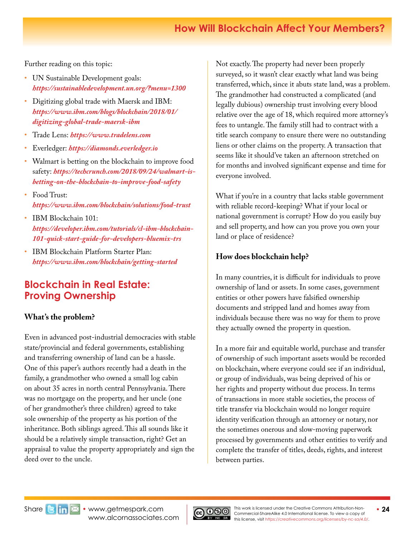# **How Will Blockchain Affect Your Members?**

<span id="page-23-0"></span>Further reading on this topic:

- UN Sustainable Development goals: *https://sustainabledevelopment.un.org/?menu=1300*
- Digitizing global trade with Maersk and IBM: *[https://www.ibm.com/blogs/blockchain/2018/01/](https://www.ibm.com/blogs/blockchain/2018/01/digitizing-global-trade-maersk-ibm) [digitizing-global-trade-maersk-ibm](https://www.ibm.com/blogs/blockchain/2018/01/digitizing-global-trade-maersk-ibm)*
- Trade Lens: *https://www.tradelens.com*
- Everledger: *https://diamonds.everledger.io*
- Walmart is betting on the blockchain to improve food safety: *[https://techcrunch.com/2018/09/24/walmart-is](https://techcrunch.com/2018/09/24/walmart-is-betting-on-the-blockchain-to-improve-food-safety)[betting-on-the-blockchain-to-improve-food-safety](https://techcrunch.com/2018/09/24/walmart-is-betting-on-the-blockchain-to-improve-food-safety)*
- Food Trust: *https://www.ibm.com/blockchain/solutions/food-trust*
- IBM Blockchain 101: *[https://developer.ibm.com/tutorials/cl-ibm-blockchain-](https://developer.ibm.com/tutorials/cl-ibm-blockchain-101-quick-start-guide-for-developers-bluemix-trs)[101-quick-start-guide-for-developers-bluemix-trs](https://developer.ibm.com/tutorials/cl-ibm-blockchain-101-quick-start-guide-for-developers-bluemix-trs)*
- IBM Blockchain Platform Starter Plan: *[https://www.ibm.com/blockchain/getting-started](https://www.ibm.com/blockchain/getting-started 
)*

# **Blockchain in Real Estate: Proving Ownership**

### **What's the problem?**

Even in advanced post-industrial democracies with stable state/provincial and federal governments, establishing and transferring ownership of land can be a hassle. One of this paper's authors recently had a death in the family, a grandmother who owned a small log cabin on about 35 acres in north central Pennsylvania. There was no mortgage on the property, and her uncle (one of her grandmother's three children) agreed to take sole ownership of the property as his portion of the inheritance. Both siblings agreed. This all sounds like it should be a relatively simple transaction, right? Get an appraisal to value the property appropriately and sign the deed over to the uncle.

Not exactly. The property had never been properly surveyed, so it wasn't clear exactly what land was being transferred, which, since it abuts state land, was a problem. The grandmother had constructed a complicated (and legally dubious) ownership trust involving every blood relative over the age of 18, which required more attorney's fees to untangle. The family still had to contract with a title search company to ensure there were no outstanding liens or other claims on the property. A transaction that seems like it should've taken an afternoon stretched on for months and involved significant expense and time for everyone involved.

What if you're in a country that lacks stable government with reliable record-keeping? What if your local or national government is corrupt? How do you easily buy and sell property, and how can you prove you own your land or place of residence?

### **How does blockchain help?**

In many countries, it is difficult for individuals to prove ownership of land or assets. In some cases, government entities or other powers have falsified ownership documents and stripped land and homes away from individuals because there was no way for them to prove they actually owned the property in question.

In a more fair and equitable world, purchase and transfer of ownership of such important assets would be recorded on blockchain, where everyone could see if an individual, or group of individuals, was being deprived of his or her rights and property without due process. In terms of transactions in more stable societies, the process of title transfer via blockchain would no longer require identity verification through an attorney or notary, nor the sometimes onerous and slow-moving paperwork processed by governments and other entities to verify and complete the transfer of titles, deeds, rights, and interest between parties.

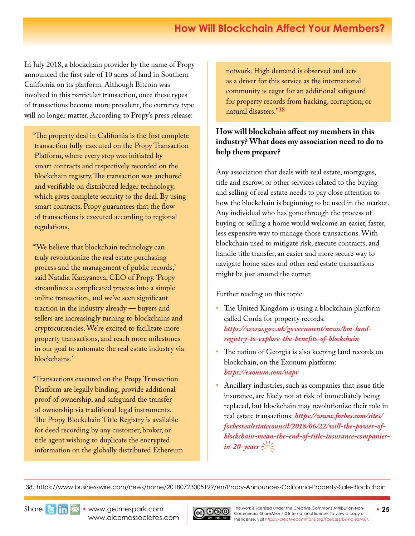In July 2018, a blockchain provider by the name of Propy announced the first sale of 10 acres of land in Southern California on its platform. Although Bitcoin was involved in this particular transaction, once these types of transactions become more prevalent, the currency type will no longer matter. According to Propy's press release:

"The property deal in California is the first complete transaction fully-executed on the Propy Transaction Platform, where every step was initiated by smart contracts and respectively recorded on the blockchain registry. The transaction was anchored and verifiable on distributed ledger technology, which gives complete security to the deal. By using smart contracts, Propy guarantees that the flow of transactions is executed according to regional regulations.

"'We believe that blockchain technology can truly revolutionize the real estate purchasing process and the management of public records,' said Natalia Karayaneva, CEO of Propy. 'Propy streamlines a complicated process into a simple online transaction, and we've seen significant traction in the industry already — buyers and sellers are increasingly turning to blockchains and cryptocurrencies. We're excited to facilitate more property transactions, and reach more milestones in our goal to automate the real estate industry via blockchains.'

"Transactions executed on the Propy Transaction Platform are legally binding, provide additional proof of ownership, and safeguard the transfer of ownership via traditional legal instruments. The Propy Blockchain Title Registry is available for deed recording by any customer, broker, or title agent wishing to duplicate the encrypted information on the globally distributed Ethereum network. High demand is observed and acts as a driver for this service as the international community is eager for an additional safeguard for property records from hacking, corruption, or natural disasters."**<sup>38</sup>**

### **How will blockchain affect my members in this industry? What does my association need to do to help them prepare?**

Any association that deals with real estate, mortgages, title and escrow, or other services related to the buying and selling of real estate needs to pay close attention to how the blockchain is beginning to be used in the market. Any individual who has gone through the process of buying or selling a home would welcome an easier, faster, less expensive way to manage those transactions. With blockchain used to mitigate risk, execute contracts, and handle title transfer, an easier and more secure way to navigate home sales and other real estate transactions might be just around the corner.

Further reading on this topic:

- The United Kingdom is using a blockchain platform called Corda for property records: *[https://www.gov.uk/government/news/hm-land](https://www.gov.uk/government/news/hm-land-registry-to-explore-the-benefits-of-blockchain)[registry-to-explore-the-benefits-of-blockchain](https://www.gov.uk/government/news/hm-land-registry-to-explore-the-benefits-of-blockchain)*
- The nation of Georgia is also keeping land records on blockchain, on the Exonum platform: *https://exonum.com/napr*
- Ancillary industries, such as companies that issue title insurance, are likely not at risk of immediately being replaced, but blockchain may revolutionize their role in real estate transactions: *[https://www.forbes.com/sites/](https://www.forbes.com/sites/forbesrealestatecouncil/2018/06/22/will-the-power-of-blockchain-mean-the-end-of-title-insurance-companies-in-20-years) [forbesrealestatecouncil/2018/06/22/will-the-power-of](https://www.forbes.com/sites/forbesrealestatecouncil/2018/06/22/will-the-power-of-blockchain-mean-the-end-of-title-insurance-companies-in-20-years)[blockchain-mean-the-end-of-title-insurance-companies](https://www.forbes.com/sites/forbesrealestatecouncil/2018/06/22/will-the-power-of-blockchain-mean-the-end-of-title-insurance-companies-in-20-years)* $in$ -20-years  $\gg\gtrless$

38. https://www.businesswire.com/news/home/20180723005199/en/Propy-Announces-California-Property-Sale-Blockchain



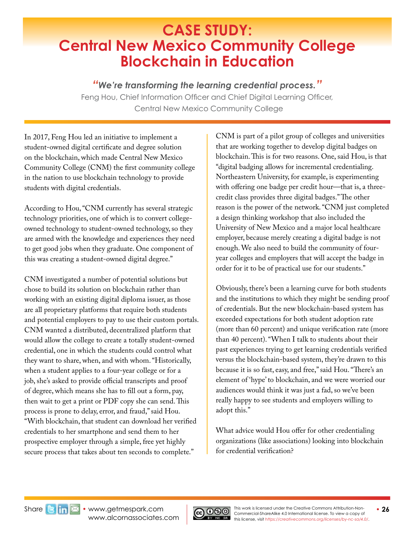# <span id="page-25-0"></span>**CASE STUDY: Central New Mexico Community College Blockchain in Education**

## *"We're transforming the learning credential process."*

Feng Hou, Chief Information Officer and Chief Digital Learning Officer, Central New Mexico Community College

In 2017, Feng Hou led an initiative to implement a student-owned digital certificate and degree solution on the blockchain, which made Central New Mexico Community College (CNM) the first community college in the nation to use blockchain technology to provide students with digital credentials.

According to Hou, "CNM currently has several strategic technology priorities, one of which is to convert collegeowned technology to student-owned technology, so they are armed with the knowledge and experiences they need to get good jobs when they graduate. One component of this was creating a student-owned digital degree."

CNM investigated a number of potential solutions but chose to build its solution on blockchain rather than working with an existing digital diploma issuer, as those are all proprietary platforms that require both students and potential employers to pay to use their custom portals. CNM wanted a distributed, decentralized platform that would allow the college to create a totally student-owned credential, one in which the students could control what they want to share, when, and with whom. "Historically, when a student applies to a four-year college or for a job, she's asked to provide official transcripts and proof of degree, which means she has to fill out a form, pay, then wait to get a print or PDF copy she can send. This process is prone to delay, error, and fraud," said Hou. "With blockchain, that student can download her verified credentials to her smartphone and send them to her prospective employer through a simple, free yet highly secure process that takes about ten seconds to complete."

CNM is part of a pilot group of colleges and universities that are working together to develop digital badges on blockchain. This is for two reasons. One, said Hou, is that "digital badging allows for incremental credentialing. Northeastern University, for example, is experimenting with offering one badge per credit hour—that is, a threecredit class provides three digital badges." The other reason is the power of the network. "CNM just completed a design thinking workshop that also included the University of New Mexico and a major local healthcare employer, because merely creating a digital badge is not enough. We also need to build the community of fouryear colleges and employers that will accept the badge in order for it to be of practical use for our students."

Obviously, there's been a learning curve for both students and the institutions to which they might be sending proof of credentials. But the new blockchain-based system has exceeded expectations for both student adoption rate (more than 60 percent) and unique verification rate (more than 40 percent). "When I talk to students about their past experiences trying to get learning credentials verified versus the blockchain-based system, they're drawn to this because it is so fast, easy, and free," said Hou. "There's an element of 'hype' to blockchain, and we were worried our audiences would think it was just a fad, so we've been really happy to see students and employers willing to adopt this."

What advice would Hou offer for other credentialing organizations (like associations) looking into blockchain for credential verification?

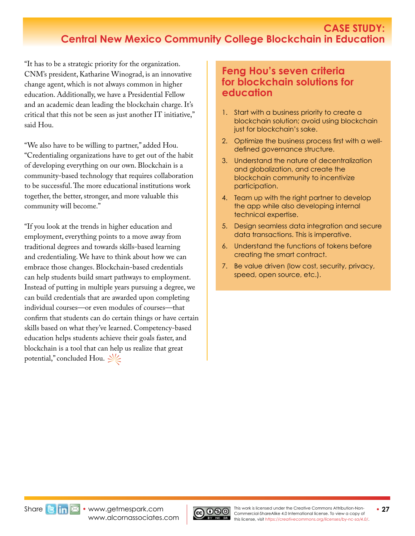## **CASE STUDY: Central New Mexico Community College Blockchain in Education**

"It has to be a strategic priority for the organization. CNM's president, Katharine Winograd, is an innovative change agent, which is not always common in higher education. Additionally, we have a Presidential Fellow and an academic dean leading the blockchain charge. It's critical that this not be seen as just another IT initiative," said Hou.

"We also have to be willing to partner," added Hou. "Credentialing organizations have to get out of the habit of developing everything on our own. Blockchain is a community-based technology that requires collaboration to be successful. The more educational institutions work together, the better, stronger, and more valuable this community will become."

"If you look at the trends in higher education and employment, everything points to a move away from traditional degrees and towards skills-based learning and credentialing. We have to think about how we can embrace those changes. Blockchain-based credentials can help students build smart pathways to employment. Instead of putting in multiple years pursuing a degree, we can build credentials that are awarded upon completing individual courses—or even modules of courses—that confirm that students can do certain things or have certain skills based on what they've learned. Competency-based education helps students achieve their goals faster, and blockchain is a tool that can help us realize that great potential," concluded Hou.  $\frac{1}{2}$ 

## **Feng Hou's seven criteria for blockchain solutions for education**

- 1. Start with a business priority to create a blockchain solution; avoid using blockchain just for blockchain's sake.
- 2. Optimize the business process first with a welldefined governance structure.
- 3. Understand the nature of decentralization and globalization, and create the blockchain community to incentivize participation.
- 4. Team up with the right partner to develop the app while also developing internal technical expertise.
- 5. Design seamless data integration and secure data transactions. This is imperative.
- 6. Understand the functions of tokens before creating the smart contract.
- 7. Be value driven (low cost, security, privacy, speed, open source, etc.).



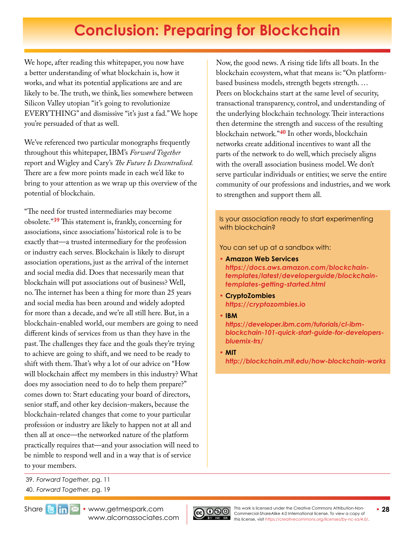# **Conclusion: Preparing for Blockchain**

<span id="page-27-0"></span>We hope, after reading this whitepaper, you now have a better understanding of what blockchain is, how it works, and what its potential applications are and are likely to be. The truth, we think, lies somewhere between Silicon Valley utopian "it's going to revolutionize EVERYTHING" and dismissive "it's just a fad." We hope you're persuaded of that as well.

We've referenced two particular monographs frequently throughout this whitepaper, IBM's *Forward Together*  report and Wigley and Cary's *The Future Is Decentralised.*  There are a few more points made in each we'd like to bring to your attention as we wrap up this overview of the potential of blockchain.

"The need for trusted intermediaries may become obsolete."**39** This statement is, frankly, concerning for associations, since associations' historical role is to be exactly that—a trusted intermediary for the profession or industry each serves. Blockchain is likely to disrupt association operations, just as the arrival of the internet and social media did. Does that necessarily mean that blockchain will put associations out of business? Well, no. The internet has been a thing for more than 25 years and social media has been around and widely adopted for more than a decade, and we're all still here. But, in a blockchain-enabled world, our members are going to need different kinds of services from us than they have in the past. The challenges they face and the goals they're trying to achieve are going to shift, and we need to be ready to shift with them. That's why a lot of our advice on "How will blockchain affect my members in this industry? What does my association need to do to help them prepare?" comes down to: Start educating your board of directors, senior staff, and other key decision-makers, because the blockchain-related changes that come to your particular profession or industry are likely to happen not at all and then all at once—the networked nature of the platform practically requires that—and your association will need to be nimble to respond well and in a way that is of service to your members.

Now, the good news. A rising tide lifts all boats. In the blockchain ecosystem, what that means is: "On platformbased business models, strength begets strength. … Peers on blockchains start at the same level of security, transactional transparency, control, and understanding of the underlying blockchain technology. Their interactions then determine the strength and success of the resulting blockchain network."**40** In other words, blockchain networks create additional incentives to want all the parts of the network to do well, which precisely aligns with the overall association business model. We don't serve particular individuals or entities; we serve the entire community of our professions and industries, and we work to strengthen and support them all.

Is your association ready to start experimenting with blockchain?

You can set up at a sandbox with:

- **Amazon Web Services** *[https://docs.aws.amazon.com/blockchain](https://docs.aws.amazon.com/blockchain-templates/latest/developerguide/blockchain-templates-getting-started.html)[templates/latest/developerguide/blockchain](https://docs.aws.amazon.com/blockchain-templates/latest/developerguide/blockchain-templates-getting-started.html)[templates-getting-started.html](https://docs.aws.amazon.com/blockchain-templates/latest/developerguide/blockchain-templates-getting-started.html)*
- **CryptoZombies** *<https://cryptozombies.io>*
- **IBM**

*https://developer.ibm.com/tutorials/cl-ibmblockchain-101-quick-start-guide-for-developersbluemix-trs/*

**• MIT** *<http://blockchain.mit.edu/how-blockchain-works>*

- 39. *Forward Together,* pg. 11
- 40. *Forward Together,* pg. 19

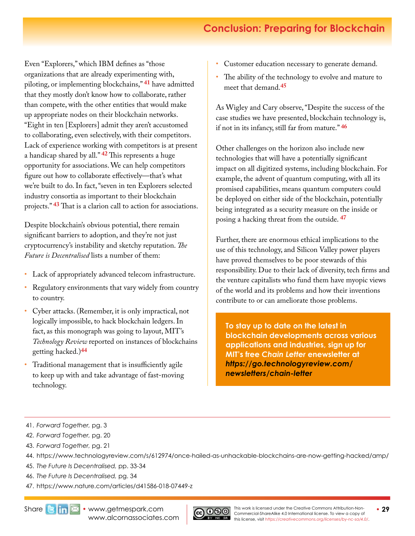# **Conclusion: Preparing for Blockchain**

Even "Explorers," which IBM defines as "those organizations that are already experimenting with, piloting, or implementing blockchains," **41** have admitted that they mostly don't know how to collaborate, rather than compete, with the other entities that would make up appropriate nodes on their blockchain networks. "Eight in ten [Explorers] admit they aren't accustomed to collaborating, even selectively, with their competitors. Lack of experience working with competitors is at present a handicap shared by all." **42** This represents a huge opportunity for associations. We can help competitors figure out how to collaborate effectively—that's what we're built to do. In fact, "seven in ten Explorers selected industry consortia as important to their blockchain projects." **43** That is a clarion call to action for associations.

Despite blockchain's obvious potential, there remain significant barriers to adoption, and they're not just cryptocurrency's instability and sketchy reputation. *The Future is Decentralised* lists a number of them:

- Lack of appropriately advanced telecom infrastructure.
- Regulatory environments that vary widely from country to country.
- Cyber attacks. (Remember, it is only impractical, not logically impossible, to hack blockchain ledgers. In fact, as this monograph was going to layout, MIT's *Technology Review* reported on instances of blockchains getting hacked.)**[44](https://www.technologyreview.com/s/612974/once-hailed-as-unhackable-blockchains-are-now-getting-hacked/amp/)**
- Traditional management that is insufficiently agile to keep up with and take advantage of fast-moving technology.
- Customer education necessary to generate demand.
- The ability of the technology to evolve and mature to meet that demand.**45**

As Wigley and Cary observe, "Despite the success of the case studies we have presented, blockchain technology is, if not in its infancy, still far from mature." **46**

Other challenges on the horizon also include new technologies that will have a potentially significant impact on all digitized systems, including blockchain. For example, the advent of quantum computing, with all its promised capabilities, means quantum computers could be deployed on either side of the blockchain, potentially being integrated as a security measure on the inside or posing a hacking threat from the outside. **47**

Further, there are enormous ethical implications to the use of this technology, and Silicon Valley power players have proved themselves to be poor stewards of this responsibility. Due to their lack of diversity, tech firms and the venture capitalists who fund them have myopic views of the world and its problems and how their inventions contribute to or can ameliorate those problems.

**To stay up to date on the latest in blockchain developments across various applications and industries, sign up for MIT's free** *Chain Letter* **enewsletter at**  *[https://go.technologyreview.com/](https://go.technologyreview.com/newsletters/chain-letter) [newsletters/chain-letter](https://go.technologyreview.com/newsletters/chain-letter)*

- 42. *Forward Together,* pg. 20
- 43. *Forward Together,* pg. 21

- 45. *The Future Is Decentralised,* pp. 33-34
- 46. *The Future Is Decentralised,* pg. 34
- 47. https://www.nature.com/articles/d41586-018-07449-z



<sup>41.</sup> *Forward Together,* pg. 3

<sup>44.</sup> https://www.technologyreview.com/s/612974/once-hailed-as-unhackable-blockchains-are-now-getting-hacked/amp/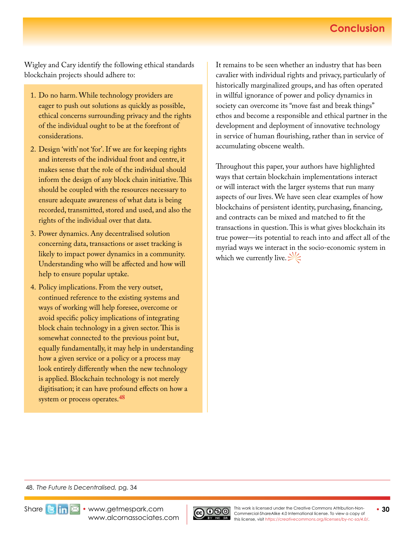## **Conclusion**

Wigley and Cary identify the following ethical standards blockchain projects should adhere to:

- 1. Do no harm. While technology providers are eager to push out solutions as quickly as possible, ethical concerns surrounding privacy and the rights of the individual ought to be at the forefront of considerations.
- 2. Design 'with' not 'for'. If we are for keeping rights and interests of the individual front and centre, it makes sense that the role of the individual should inform the design of any block chain initiative. This should be coupled with the resources necessary to ensure adequate awareness of what data is being recorded, transmitted, stored and used, and also the rights of the individual over that data.
- 3. Power dynamics. Any decentralised solution concerning data, transactions or asset tracking is likely to impact power dynamics in a community. Understanding who will be affected and how will help to ensure popular uptake.
- 4. Policy implications. From the very outset, continued reference to the existing systems and ways of working will help foresee, overcome or avoid specific policy implications of integrating block chain technology in a given sector. This is somewhat connected to the previous point but, equally fundamentally, it may help in understanding how a given service or a policy or a process may look entirely differently when the new technology is applied. Blockchain technology is not merely digitisation; it can have profound effects on how a system or process operates.**<sup>48</sup>**

It remains to be seen whether an industry that has been cavalier with individual rights and privacy, particularly of historically marginalized groups, and has often operated in willful ignorance of power and policy dynamics in society can overcome its "move fast and break things" ethos and become a responsible and ethical partner in the development and deployment of innovative technology in service of human flourishing, rather than in service of accumulating obscene wealth.

Throughout this paper, your authors have highlighted ways that certain blockchain implementations interact or will interact with the larger systems that run many aspects of our lives. We have seen clear examples of how blockchains of persistent identity, purchasing, financing, and contracts can be mixed and matched to fit the transactions in question. This is what gives blockchain its true power—its potential to reach into and affect all of the myriad ways we interact in the socio-economic system in which we currently live.  $\gg\ll$ 

#### 48. *The Future Is Decentralised,* pg. 34



Share**Bim <b>X** • [www.getmespark.com](http://www.getmespark.com) [www.alcornassociates.com](http://www.alcornassociates.com)

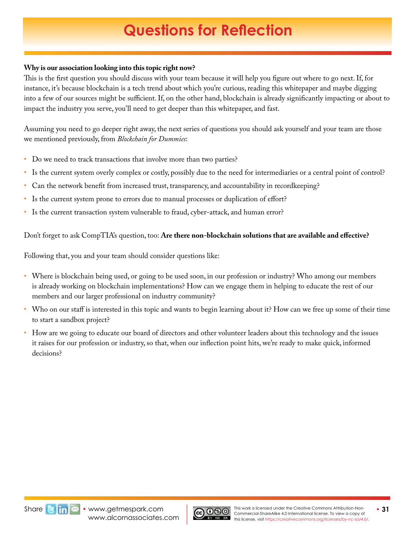# **Questions for Reflection**

### <span id="page-30-0"></span>**Why is our association looking into this topic right now?**

This is the first question you should discuss with your team because it will help you figure out where to go next. If, for instance, it's because blockchain is a tech trend about which you're curious, reading this whitepaper and maybe digging into a few of our sources might be sufficient. If, on the other hand, blockchain is already significantly impacting or about to impact the industry you serve, you'll need to get deeper than this whitepaper, and fast.

Assuming you need to go deeper right away, the next series of questions you should ask yourself and your team are those we mentioned previously, from *Blockchain for Dummies*:

- Do we need to track transactions that involve more than two parties?
- Is the current system overly complex or costly, possibly due to the need for intermediaries or a central point of control?
- Can the network benefit from increased trust, transparency, and accountability in recordkeeping?
- Is the current system prone to errors due to manual processes or duplication of effort?
- Is the current transaction system vulnerable to fraud, cyber-attack, and human error?

Don't forget to ask CompTIA's question, too: **Are there non-blockchain solutions that are available and effective?**

Following that, you and your team should consider questions like:

- Where is blockchain being used, or going to be used soon, in our profession or industry? Who among our members is already working on blockchain implementations? How can we engage them in helping to educate the rest of our members and our larger professional on industry community?
- Who on our staff is interested in this topic and wants to begin learning about it? How can we free up some of their time to start a sandbox project?
- How are we going to educate our board of directors and other volunteer leaders about this technology and the issues it raises for our profession or industry, so that, when our inflection point hits, we're ready to make quick, informed decisions?



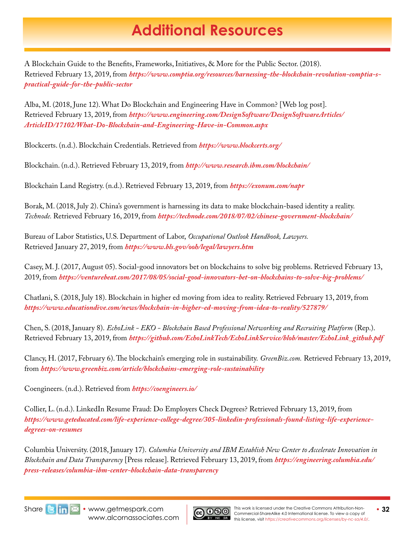# **Blockchain For Additional Resources**

<span id="page-31-0"></span>A Blockchain Guide to the Benefits, Frameworks, Initiatives, & More for the Public Sector. (2018). Retrieved February 13, 2019, from *[https://www.comptia.org/resources/harnessing-the-blockchain-revolution-comptia-s](https://www.comptia.org/resources/harnessing-the-blockchain-revolution-comptia-s-practical-guide-for-the-public-sector)[practical-guide-for-the-public-sector](https://www.comptia.org/resources/harnessing-the-blockchain-revolution-comptia-s-practical-guide-for-the-public-sector)*

Alba, M. (2018, June 12). What Do Blockchain and Engineering Have in Common? [Web log post]. Retrieved February 13, 2019, from *[https://www.engineering.com/DesignSoftware/DesignSoftwareArticles/](https://www.engineering.com/DesignSoftware/DesignSoftwareArticles/ArticleID/17102/What-Do-Blockchain-and-Engineering-Have-in-Common.aspx) [ArticleID/17102/What-Do-Blockchain-and-Engineering-Have-in-Common.aspx](https://www.engineering.com/DesignSoftware/DesignSoftwareArticles/ArticleID/17102/What-Do-Blockchain-and-Engineering-Have-in-Common.aspx)*

Blockcerts. (n.d.). Blockchain Credentials. Retrieved from *https://www.blockcerts.org/* 

Blockchain. (n.d.). Retrieved February 13, 2019, from *http://www.research.ibm.com/blockchain/* 

Blockchain Land Registry. (n.d.). Retrieved February 13, 2019, from *https://exonum.com/napr* 

Borak, M. (2018, July 2). China's government is harnessing its data to make blockchain-based identity a reality. *Technode.* Retrieved February 16, 2019, from *https://technode.com/2018/07/02/chinese-government-blockchain/*

Bureau of Labor Statistics, U.S. Department of Labor, *Occupational Outlook Handbook, Lawyers.*  Retrieved January 27, 2019, from *https://www.bls.gov/ooh/legal/lawyers.htm*

Casey, M. J. (2017, August 05). Social-good innovators bet on blockchains to solve big problems. Retrieved February 13, 2019, from *https://venturebeat.com/2017/08/05/social-good-innovators-bet-on-blockchains-to-solve-big-problems/* 

Chatlani, S. (2018, July 18). Blockchain in higher ed moving from idea to reality. Retrieved February 13, 2019, from *https://www.educationdive.com/news/blockchain-in-higher-ed-moving-from-idea-to-reality/527879/*

Chen, S. (2018, January 8). *EchoLink - EKO - Blockchain Based Professional Networking and Recruiting Platform* (Rep.). Retrieved February 13, 2019, from *https://github.com/EchoLinkTech/EchoLinkService/blob/master/EchoLink\_github.pdf* 

Clancy, H. (2017, February 6). The blockchain's emerging role in sustainability. *GreenBiz.com.* Retrieved February 13, 2019, from *https://www.greenbiz.com/article/blockchains-emerging-role-sustainability* 

Coengineers. (n.d.). Retrieved from *https://coengineers.io/* 

Collier, L. (n.d.). LinkedIn Resume Fraud: Do Employers Check Degrees? Retrieved February 13, 2019, from *[https://www.geteducated.com/life-experience-college-degree/305-linkedin-professionals-found-listing-life-experience](https://www.geteducated.com/life-experience-college-degree/305-linkedin-professionals-found-listing-life-experience-degrees-on-resumes)[degrees-on-resumes](https://www.geteducated.com/life-experience-college-degree/305-linkedin-professionals-found-listing-life-experience-degrees-on-resumes)* 

Columbia University. (2018, January 17). *Columbia University and IBM Establish New Center to Accelerate Innovation in Blockchain and Data Transparency* [Press release]. Retrieved February 13, 2019, from *[https://engineering.columbia.edu/](https://engineering.columbia.edu/press-releases/columbia-ibm-center-blockchain-data-transparency) [press-releases/columbia-ibm-center-blockchain-data-transparency](https://engineering.columbia.edu/press-releases/columbia-ibm-center-blockchain-data-transparency)* 



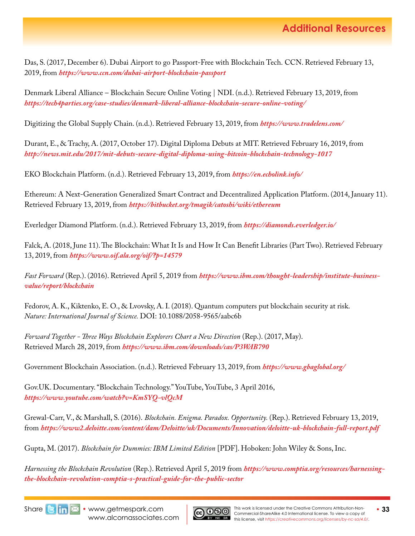Das, S. (2017, December 6). Dubai Airport to go Passport-Free with Blockchain Tech. CCN. Retrieved February 13, 2019, from *https://www.ccn.com/dubai-airport-blockchain-passport* 

Denmark Liberal Alliance – Blockchain Secure Online Voting | NDI. (n.d.). Retrieved February 13, 2019, from *https://tech4parties.org/case-studies/denmark-liberal-alliance-blockchain-secure-online-voting/* 

Digitizing the Global Supply Chain. (n.d.). Retrieved February 13, 2019, from *https://www.tradelens.com/* 

Durant, E., & Trachy, A. (2017, October 17). Digital Diploma Debuts at MIT. Retrieved February 16, 2019, from *http://news.mit.edu/2017/mit-debuts-secure-digital-diploma-using-bitcoin-blockchain-technology-1017* 

EKO Blockchain Platform. (n.d.). Retrieved February 13, 2019, from *https://en.echolink.info/* 

Ethereum: A Next-Generation Generalized Smart Contract and Decentralized Application Platform. (2014, January 11). Retrieved February 13, 2019, from *https://bitbucket.org/tmagik/catoshi/wiki/ethereum* 

Everledger Diamond Platform. (n.d.). Retrieved February 13, 2019, from *https://diamonds.everledger.io/* 

Falck, A. (2018, June 11). The Blockchain: What It Is and How It Can Benefit Libraries (Part Two). Retrieved February 13, 2019, from *https://www.oif.ala.org/oif/?p=14579* 

*Fast Forward* (Rep.). (2016). Retrieved April 5, 2019 from *[https://www.ibm.com/thought-leadership/institute-business](https://www.ibm.com/thought-leadership/institute-business-value/report/blockchain)[value/report/blockchain](https://www.ibm.com/thought-leadership/institute-business-value/report/blockchain)*

Fedorov, A. K., Kiktenko, E. O., & Lvovsky, A. I. (2018). Quantum computers put blockchain security at risk. *Nature: International Journal of Science.* DOI: 10.1088/2058-9565/aabc6b

*Forward Together - Three Ways Blockchain Explorers Chart a New Direction* (Rep.). (2017, May). Retrieved March 28, 2019, from *https://www.ibm.com/downloads/cas/P3WAB790* 

Government Blockchain Association. (n.d.). Retrieved February 13, 2019, from *https://www.gbaglobal.org/* 

Gov.UK. Documentary. "Blockchain Technology." YouTube, YouTube, 3 April 2016, *https://www.youtube.com/watch?v=KmSYQ-vlQcM* 

Grewal-Carr, V., & Marshall, S. (2016). *Blockchain. Enigma. Paradox. Opportunity.* (Rep.). Retrieved February 13, 2019, from *https://www2.deloitte.com/content/dam/Deloitte/uk/Documents/Innovation/deloitte-uk-blockchain-full-report.pdf* 

Gupta, M. (2017). *Blockchain for Dummies: IBM Limited Edition* [PDF]. Hoboken: John Wiley & Sons, Inc.

*Harnessing the Blockchain Revolution* (Rep.). Retrieved April 5, 2019 from *[https://www.comptia.org/resources/harnessing](https://www.comptia.org/resources/harnessing-the-blockchain-revolution-comptia-s-practical-guide-for-the-public-sector)[the-blockchain-revolution-comptia-s-practical-guide-for-the-public-sector](https://www.comptia.org/resources/harnessing-the-blockchain-revolution-comptia-s-practical-guide-for-the-public-sector)*



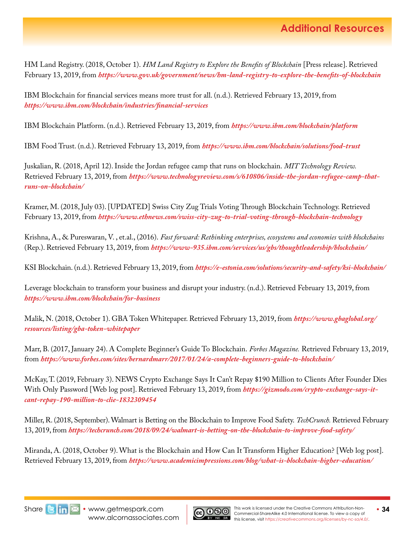HM Land Registry. (2018, October 1). *HM Land Registry to Explore the Benefits of Blockchain* [Press release]. Retrieved February 13, 2019, from *https://www.gov.uk/government/news/hm-land-registry-to-explore-the-benefits-of-blockchain* 

IBM Blockchain for financial services means more trust for all. (n.d.). Retrieved February 13, 2019, from *https://www.ibm.com/blockchain/industries/financial-services* 

IBM Blockchain Platform. (n.d.). Retrieved February 13, 2019, from *https://www.ibm.com/blockchain/platform* 

IBM Food Trust. (n.d.). Retrieved February 13, 2019, from *https://www.ibm.com/blockchain/solutions/food-trust* 

Juskalian, R. (2018, April 12). Inside the Jordan refugee camp that runs on blockchain. *MIT Technology Review.*  Retrieved February 13, 2019, from *[https://www.technologyreview.com/s/610806/inside-the-jordan-refugee-camp-that](https://www.technologyreview.com/s/610806/inside-the-jordan-refugee-camp-that-runs-on-blockchain/)[runs-on-blockchain/](https://www.technologyreview.com/s/610806/inside-the-jordan-refugee-camp-that-runs-on-blockchain/)* 

Kramer, M. (2018, July 03). [UPDATED] Swiss City Zug Trials Voting Through Blockchain Technology. Retrieved February 13, 2019, from *https://www.ethnews.com/swiss-city-zug-to-trial-voting-through-blockchain-technology* 

Krishna, A., & Pureswaran, V. , et.al., (2016). *Fast forward: Rethinking enterprises, ecosystems and economies with blockchains* (Rep.). Retrieved February 13, 2019, from *https://www-935.ibm.com/services/us/gbs/thoughtleadership/blockchain/* 

KSI Blockchain. (n.d.). Retrieved February 13, 2019, from *https://e-estonia.com/solutions/security-and-safety/ksi-blockchain/* 

Leverage blockchain to transform your business and disrupt your industry. (n.d.). Retrieved February 13, 2019, from *https://www.ibm.com/blockchain/for-business* 

Malik, N. (2018, October 1). GBA Token Whitepaper. Retrieved February 13, 2019, from *[https://www.gbaglobal.org/](https://www.gbaglobal.org/resources/listing/gba-token-whitepaper) [resources/listing/gba-token-whitepaper](https://www.gbaglobal.org/resources/listing/gba-token-whitepaper)* 

Marr, B. (2017, January 24). A Complete Beginner's Guide To Blockchain. *Forbes Magazine.* Retrieved February 13, 2019, from *https://www.forbes.com/sites/bernardmarr/2017/01/24/a-complete-beginners-guide-to-blockchain/*

McKay, T. (2019, February 3). NEWS Crypto Exchange Says It Can't Repay \$190 Million to Clients After Founder Dies With Only Password [Web log post]. Retrie[ve](https://gizmodo.com/crypto-exchange-says-it-cant-repay-190-million-to-clie-1832309454 
)d February 13, 2019, from *[https://gizmodo.com/crypto-exchange-says-it](https://gizmodo.com/crypto-exchange-says-it-cant-repay-190-million-to-clie-1832309454)[cant-repay-190-million-to-clie-1832309454](https://gizmodo.com/crypto-exchange-says-it-cant-repay-190-million-to-clie-1832309454)* 

Miller, R. (2018, September). Walmart is Betting on the Blockchain to Improve Food Safety. *TechCrunch.* Retrieved February 13, 2019, from *https://techcrunch.com/2018/09/24/walmart-is-betting-on-the-blockchain-to-improve-food-safety/*

Miranda, A. (2018, October 9). What is the Blockchain and How Can It Transform Higher Education? [Web log post]. Retrieved February 13, 2019, from *https://www.academicimpressions.com/blog/what-is-blockchain-higher-education/* 



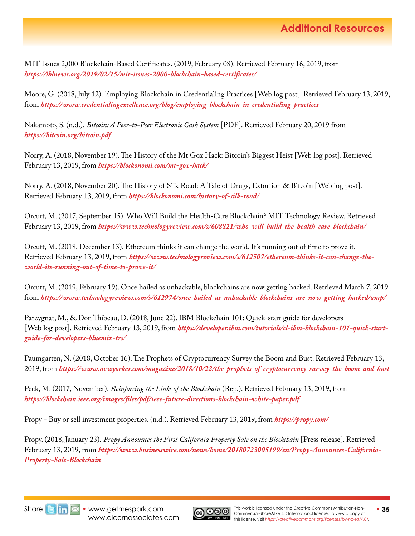MIT Issues 2,000 Blockchain-Based Certificates. (2019, February 08). Retrieved February 16, 2019, from *https://iblnews.org/2019/02/15/mit-issues-2000-blockchain-based-certificates/*

Moore, G. (2018, July 12). Employing Blockchain in Credentialing Practices [Web log post]. Retrieved February 13, 2019, from *https://www.credentialingexcellence.org/blog/employing-blockchain-in-credentialing-practices* 

Nakamoto, S. (n.d.). *Bitcoin: A Peer-to-Peer Electronic Cash System* [PDF]. Retrieved February 20, 2019 from *https://bitcoin.org/bitcoin.pdf*

Norry, A. (2018, November 19). The History of the Mt Gox Hack: Bitcoin's Biggest Heist [Web log post]. Retrieved February 13, 2019, from *https://blockonomi.com/mt-gox-hack/*

Norry, A. (2018, November 20). The History of Silk Road: A Tale of Drugs, Extortion & Bitcoin [Web log post]. Retrieved February 13, 2019, from *https://blockonomi.com/history-of-silk-road/*

Orcutt, M. (2017, September 15). Who Will Build the Health-Care Blockchain? MIT Technology Review. Retrieved February 13, 2019, from *https://www.technologyreview.com/s/608821/who-will-build-the-health-care-blockchain/* 

Orcutt, M. (2018, December 13). Ethereum thinks it can change the world. It's running out of time to prove it. Retrieved February 13, 2019, from *[https://www.technologyreview.com/s/612507/ethereum-thinks-it-can-change-the](https://www.technologyreview.com/s/612507/ethereum-thinks-it-can-change-the-world-its-running-out-of-time-to-prove-it/)[world-its-running-out-of-time-to-prove-it/](https://www.technologyreview.com/s/612507/ethereum-thinks-it-can-change-the-world-its-running-out-of-time-to-prove-it/)* 

Orcutt, M. (2019, February 19). Once hailed as unhackable, blockchains are now getting hacked. Retrieved March 7, 2019 from *https://www.technologyreview.com/s/612974/once-hailed-as-unhackable-blockchains-are-now-getting-hacked/amp/*

Parzygnat, M., & Don Thibeau, D. (2018, June 22). IBM Blockchain 101: Quick-start guide for developers [Web log post]. Retrieved February 13, 2019, from *[https://developer.ibm.com/tutorials/cl-ibm-blockchain-101-quick-start](https://developer.ibm.com/tutorials/cl-ibm-blockchain-101-quick-start-guide-for-developers-bluemix-trs/)[guide-for-developers-bluemix-trs/](https://developer.ibm.com/tutorials/cl-ibm-blockchain-101-quick-start-guide-for-developers-bluemix-trs/)*

Paumgarten, N. (2018, October 16). The Prophets of Cryptocurrency Survey the Boom and Bust. Retrieved February 13, 2019, from *https://www.newyorker.com/magazine/2018/10/22/the-prophets-of-cryptocurrency-survey-the-boom-and-bust*

Peck, M. (2017, November). *Reinforcing the Links of the Blockchain* (Rep.). Retrieved February 13, 2019, from *https://blockchain.ieee.org/images/files/pdf/ieee-future-directions-blockchain-white-paper.pdf* 

Propy - Buy or sell investment properties. (n.d.). Retrieved February 13, 2019, from *https://propy.com/* 

Propy. (2018, January 23). *Propy Announces the First California Property Sale on the Blockchain* [Press release]. Retrieved February 13, 2019, from *[https://www.businesswire.com/news/home/20180723005199/en/Propy-Announces-California-](https://www.businesswire.com/news/home/20180723005199/en/Propy-Announces-California-Property-Sale-Blockchain)[Property-Sale-Blockchain](https://www.businesswire.com/news/home/20180723005199/en/Propy-Announces-California-Property-Sale-Blockchain)* 



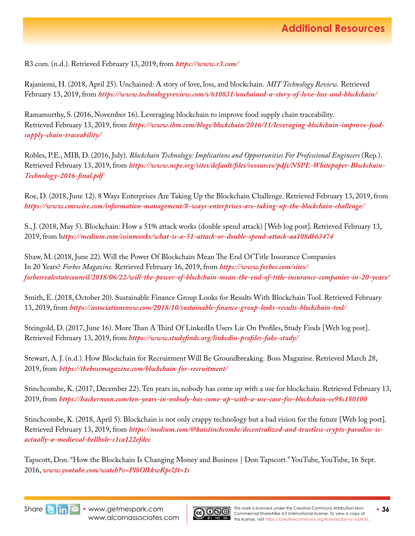R3.com. (n.d.). Retrieved February 13, 2019, from *https://www.r3.com/* 

Rajaniemi, H. (2018, April 25). Unchained: A story of love, loss, and blockchain. *MIT Technology Review.* Retrieved February 13, 2019, from *https://www.technologyreview.com/s/610831/unchained-a-story-of-love-loss-and-blockchain/* 

Ramamurthy, S. (2016, November 16). Leveraging blockchain to improve food supply chain traceability. Retrieved February 13, 2019, from *[https://www.ibm.com/blogs/blockchain/2016/11/leveraging-blockchain-improve-food](https://www.ibm.com/blogs/blockchain/2016/11/leveraging-blockchain-improve-food-supply-chain-traceability/)[supply-chain-traceability/](https://www.ibm.com/blogs/blockchain/2016/11/leveraging-blockchain-improve-food-supply-chain-traceability/)* 

Robles, P.E., MIB, D. (2016, July). *Blockchain Technology: Implications and Opportunities For Professional Engineers* (Rep.). Retrieved February 13, 2019, from *[https://www.nspe.org/sites/default/files/resources/pdfs/NSPE-Whitepaper-Blockchain-](https://www.nspe.org/sites/default/files/resources/pdfs/NSPE-Whitepaper-Blockchain-Technology-2016-final.pdf)[Technology-2016-final.pdf](https://www.nspe.org/sites/default/files/resources/pdfs/NSPE-Whitepaper-Blockchain-Technology-2016-final.pdf)* 

Roe, D. (2018, June 12). 8 Ways Enterprises Are Taking Up the Blockchain Challenge. Retrieved February 13, 2019, from *https://www.cmswire.com/information-management/8-ways-enterprises-are-taking-up-the-blockchain-challenge/* 

S., J. (2018, May 5). Blockchain: How a 51% attack works (double spend attack) [Web log post]. Retrieved February 13, 2019, from h*ttps://medium.com/coinmonks/what-is-a-51-attack-or-double-spend-attack-aa108db63474* 

Shaw, M. (2018, June 22). Will the Power Of Blockchain Mean The End Of Title Insurance Companies In 20 Years? *Forbes Magazine.* Retrieved February 16, 2019, from *[https://www.forbes.com/sites/](https://www.forbes.com/sites/forbesrealestatecouncil/2018/06/22/will-the-power-of-blockchain-mean-the-end-of-title-insurance-companies-in-20-years/) [forbesrealestatecouncil/2018/06/22/will-the-power-of-blockchain-mean-the-end-of-title-insurance-companies-in-20-years/](https://www.forbes.com/sites/forbesrealestatecouncil/2018/06/22/will-the-power-of-blockchain-mean-the-end-of-title-insurance-companies-in-20-years/)* 

Smith, E. (2018, October 20). Sustainable Finance Group Looks for Results With Blockchain Tool. Retrieved February 13, 2019, from *https://associationsnow.com/2018/10/sustainable-finance-group-looks-results-blockchain-tool/* 

Steingold, D. (2017, June 16). More Than A Third Of LinkedIn Users Lie On Profiles, Study Finds [Web log post]. Retrieved February 13, 2019, from *https://www.studyfinds.org/linkedin-profiles-fake-study/* 

Stewart, A. J. (n.d.). How Blockchain for Recruitment Will Be Groundbreaking. Boss Magazine. Retrieved March 28, 2019, from *https://thebossmagazine.com/blockchain-for-recruitment/*

Stinchcombe, K. (2017, December 22). Ten years in, nobody has come up with a use for blockchain. Retrieved February 13, 2019, from *https://hackernoon.com/ten-years-in-nobody-has-come-up-with-a-use-case-for-blockchain-ee98c180100* 

Stinchcombe, K. (2018, April 5). Blockchain is not only crappy technology but a bad vision for the future [Web log post]. Retrieved February 13, 2019, from *[https://medium.com/@kaistinchcombe/decentralized-and-trustless-crypto-paradise-is](https://medium.com/@kaistinchcombe/decentralized-and-trustless-crypto-paradise-is-actually-a-medieval-hellhole-c1ca122efdec)[actually-a-medieval-hellhole-c1ca122efdec](https://medium.com/@kaistinchcombe/decentralized-and-trustless-crypto-paradise-is-actually-a-medieval-hellhole-c1ca122efdec)* 

Tapscott, Don. "How the Blockchain Is Changing Money and Business | Don Tapscott." YouTube, YouTube, 16 Sept. 2016, *www.youtube.com/watch?v=Pl8OlkkwRpc&t=1s*



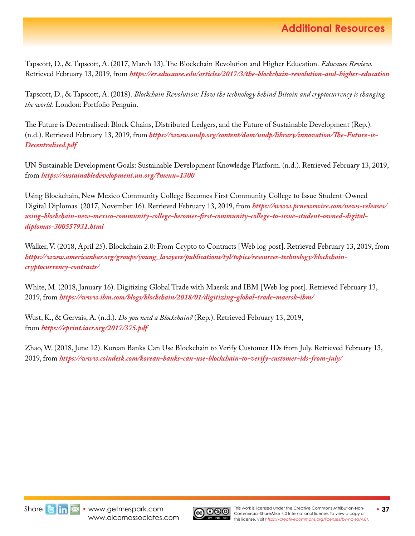Tapscott, D., & Tapscott, A. (2017, March 13). The Blockchain Revolution and Higher Education. *Educause Review.*  Retrieved February 13, 2019, from *https://er.educause.edu/articles/2017/3/the-blockchain-revolution-and-higher-education* 

Tapscott, D., & Tapscott, A. (2018). *Blockchain Revolution: How the technology behind Bitcoin and cryptocurrency is changing the world.* London: Portfolio Penguin.

The Future is Decentralised: Block Chains, Distributed Ledgers, and the Future of Sustainable Development (Rep.). (n.d.). Retrieved February 13, 2019, from *[https://www.undp.org/content/dam/undp/library/innovation/The-Future-is-](https://www.undp.org/content/dam/undp/library/innovation/The-Future-is-Decentralised.pdf)[Decentralised.pdf](https://www.undp.org/content/dam/undp/library/innovation/The-Future-is-Decentralised.pdf)* 

UN Sustainable Development Goals: Sustainable Development Knowledge Platform. (n.d.). Retrieved February 13, 2019, from *https://sustainabledevelopment.un.org/?menu=1300* 

Using Blockchain, New Mexico Community College Becomes First Community College to Issue Student-Owned Digital Diplomas. (2017, November 16). Retrieved February 13, 2019, from *[https://www.prnewswire.com/news-releases/](https://www.prnewswire.com/news-releases/using-blockchain-new-mexico-community-college-becomes-first-community-college-to-issue-student-owned-digital-diplomas-300557931.html) [using-blockchain-new-mexico-community-college-becomes-first-community-college-to-issue-student-owned-digital](https://www.prnewswire.com/news-releases/using-blockchain-new-mexico-community-college-becomes-first-community-college-to-issue-student-owned-digital-diplomas-300557931.html)[diplomas-300557931.html](https://www.prnewswire.com/news-releases/using-blockchain-new-mexico-community-college-becomes-first-community-college-to-issue-student-owned-digital-diplomas-300557931.html)* 

Walker, V. (2018, April 25). Blockchain 2.0: From Crypto to Contracts [Web log post]. Retrieved February 13, 2019, from *[https://www.americanbar.org/groups/young\\_lawyers/publications/tyl/topics/resources-technology/blockchain](https://www.americanbar.org/groups/young_lawyers/publications/tyl/topics/resources-technology/blockchain-cryptocurrency-contracts/)[cryptocurrency-contracts/](https://www.americanbar.org/groups/young_lawyers/publications/tyl/topics/resources-technology/blockchain-cryptocurrency-contracts/)* 

White, M. (2018, January 16). Digitizing Global Trade with Maersk and IBM [Web log post]. Retrieved February 13, 2019, from *https://www.ibm.com/blogs/blockchain/2018/01/digitizing-global-trade-maersk-ibm/* 

Wust, K., & Gervais, A. (n.d.). *Do you need a Blockchain?* (Rep.). Retrieved February 13, 2019, from *https://eprint.iacr.org/2017/375.pdf* 

Zhao, W. (2018, June 12). Korean Banks Can Use Blockchain to Verify Customer IDs from July. Retrieved February 13, 2019, from *https://www.coindesk.com/korean-banks-can-use-blockchain-to-verify-customer-ids-from-july/*